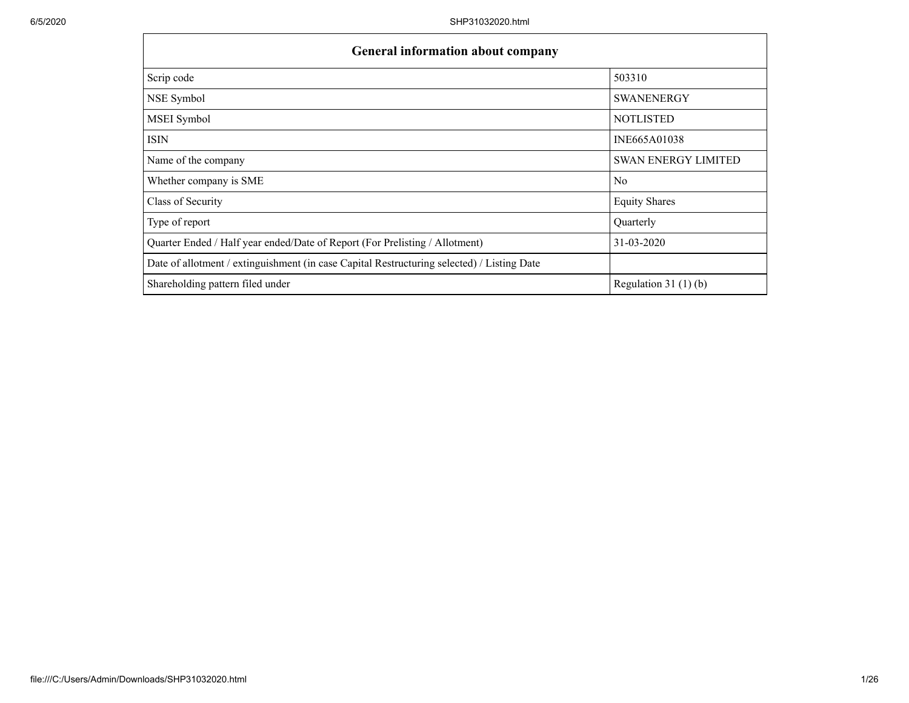| <b>General information about company</b>                                                   |                            |
|--------------------------------------------------------------------------------------------|----------------------------|
| Scrip code                                                                                 | 503310                     |
| NSE Symbol                                                                                 | <b>SWANENERGY</b>          |
| MSEI Symbol                                                                                | <b>NOTLISTED</b>           |
| ISIN                                                                                       | INE665A01038               |
| Name of the company                                                                        | <b>SWAN ENERGY LIMITED</b> |
| Whether company is SME                                                                     | N <sub>o</sub>             |
| Class of Security                                                                          | <b>Equity Shares</b>       |
| Type of report                                                                             | Quarterly                  |
| Quarter Ended / Half year ended/Date of Report (For Prelisting / Allotment)                | 31-03-2020                 |
| Date of allotment / extinguishment (in case Capital Restructuring selected) / Listing Date |                            |
| Shareholding pattern filed under                                                           | Regulation 31 $(1)(b)$     |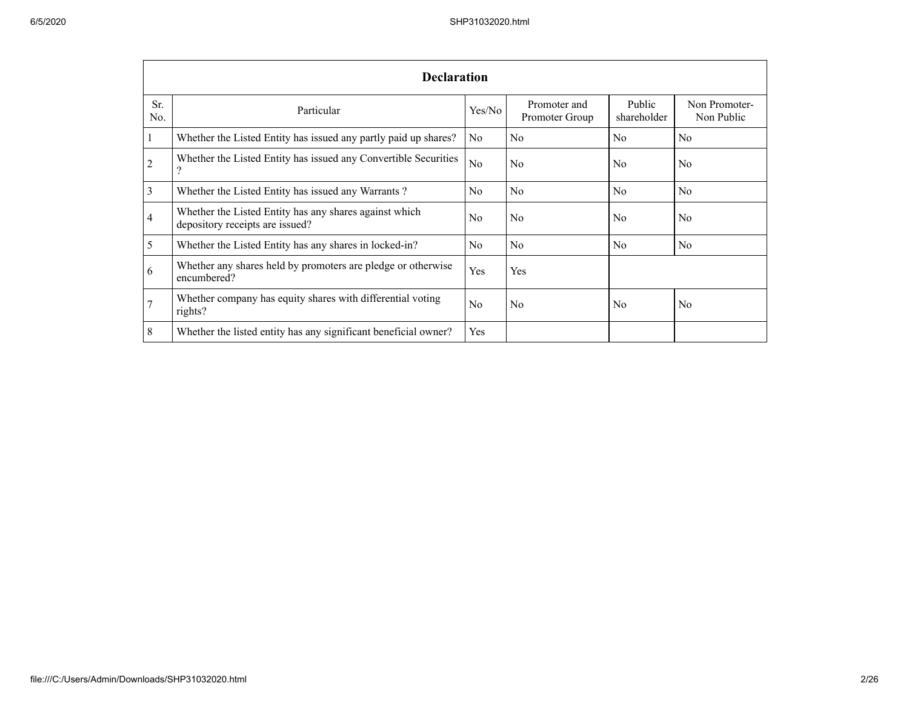|                | <b>Declaration</b>                                                                        |                |                                |                       |                             |
|----------------|-------------------------------------------------------------------------------------------|----------------|--------------------------------|-----------------------|-----------------------------|
| Sr.<br>No.     | Particular                                                                                | Yes/No         | Promoter and<br>Promoter Group | Public<br>shareholder | Non Promoter-<br>Non Public |
|                | Whether the Listed Entity has issued any partly paid up shares?                           | N <sub>o</sub> | N <sub>o</sub>                 | N <sub>o</sub>        | N <sub>o</sub>              |
| $\overline{c}$ | Whether the Listed Entity has issued any Convertible Securities<br>റ                      | N <sub>o</sub> | N <sub>o</sub>                 | N <sub>0</sub>        | N <sub>o</sub>              |
| 3              | Whether the Listed Entity has issued any Warrants?                                        | N <sub>o</sub> | N <sub>o</sub>                 | N <sub>o</sub>        | N <sub>o</sub>              |
| 4              | Whether the Listed Entity has any shares against which<br>depository receipts are issued? | N <sub>o</sub> | N <sub>o</sub>                 | N <sub>o</sub>        | N <sub>o</sub>              |
| 5              | Whether the Listed Entity has any shares in locked-in?                                    | No             | N <sub>o</sub>                 | No                    | No                          |
| 6              | Whether any shares held by promoters are pledge or otherwise<br>encumbered?               | Yes            | Yes                            |                       |                             |
| $\tau$         | Whether company has equity shares with differential voting<br>rights?                     | No             | No                             | No                    | N <sub>o</sub>              |
| 8              | Whether the listed entity has any significant beneficial owner?                           | Yes            |                                |                       |                             |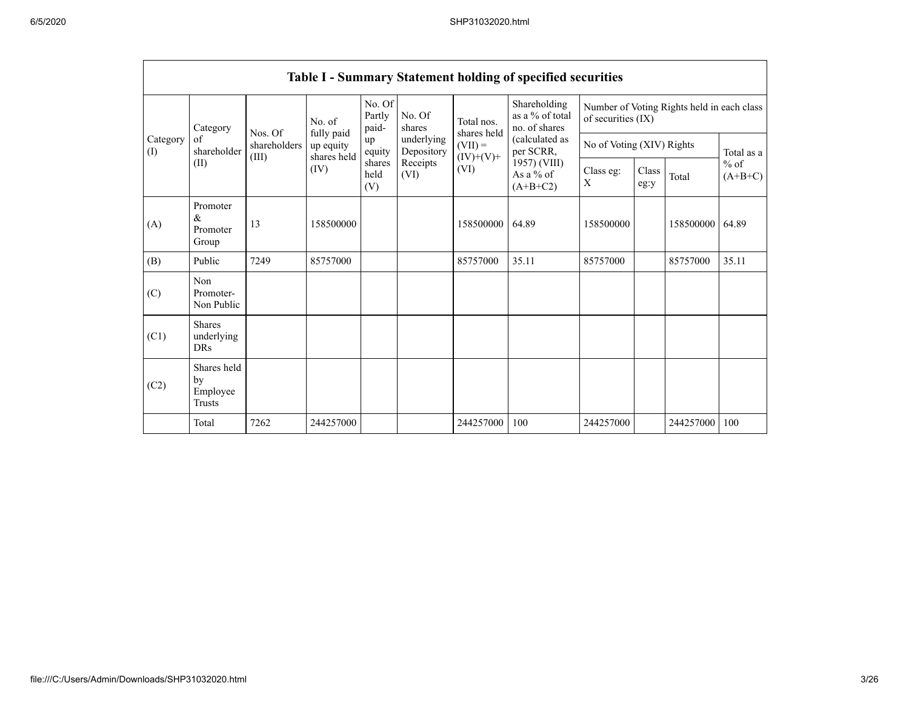|                 |                                           |                       |                                        |                           |                          |                           | Table I - Summary Statement holding of specified securities |                           |               |                                            |                      |
|-----------------|-------------------------------------------|-----------------------|----------------------------------------|---------------------------|--------------------------|---------------------------|-------------------------------------------------------------|---------------------------|---------------|--------------------------------------------|----------------------|
|                 | Category                                  | Nos. Of               | No. of                                 | No. Of<br>Partly<br>paid- | No. Of<br>shares         | Total nos.<br>shares held | Shareholding<br>as a % of total<br>no. of shares            | of securities (IX)        |               | Number of Voting Rights held in each class |                      |
| Category<br>(I) | of<br>shareholder                         | shareholders<br>(III) | fully paid<br>up equity<br>shares held | up<br>equity              | underlying<br>Depository | $(VII) =$<br>$(IV)+(V)+$  | (calculated as<br>per SCRR,                                 | No of Voting (XIV) Rights |               |                                            | Total as a           |
|                 | (II)                                      |                       | (IV)                                   | shares<br>held<br>(V)     | Receipts<br>(VI)         | (VI)                      | 1957) (VIII)<br>As a $%$ of<br>$(A+B+C2)$                   | Class eg:<br>X            | Class<br>eg:y | Total                                      | $\%$ of<br>$(A+B+C)$ |
| (A)             | Promoter<br>$\&$<br>Promoter<br>Group     | 13                    | 158500000                              |                           |                          | 158500000                 | 64.89                                                       | 158500000                 |               | 158500000                                  | 64.89                |
| (B)             | Public                                    | 7249                  | 85757000                               |                           |                          | 85757000                  | 35.11                                                       | 85757000                  |               | 85757000                                   | 35.11                |
| (C)             | Non<br>Promoter-<br>Non Public            |                       |                                        |                           |                          |                           |                                                             |                           |               |                                            |                      |
| (C1)            | <b>Shares</b><br>underlying<br><b>DRs</b> |                       |                                        |                           |                          |                           |                                                             |                           |               |                                            |                      |
| (C2)            | Shares held<br>by<br>Employee<br>Trusts   |                       |                                        |                           |                          |                           |                                                             |                           |               |                                            |                      |
|                 | Total                                     | 7262                  | 244257000                              |                           |                          | 244257000                 | 100                                                         | 244257000                 |               | 244257000                                  | 100                  |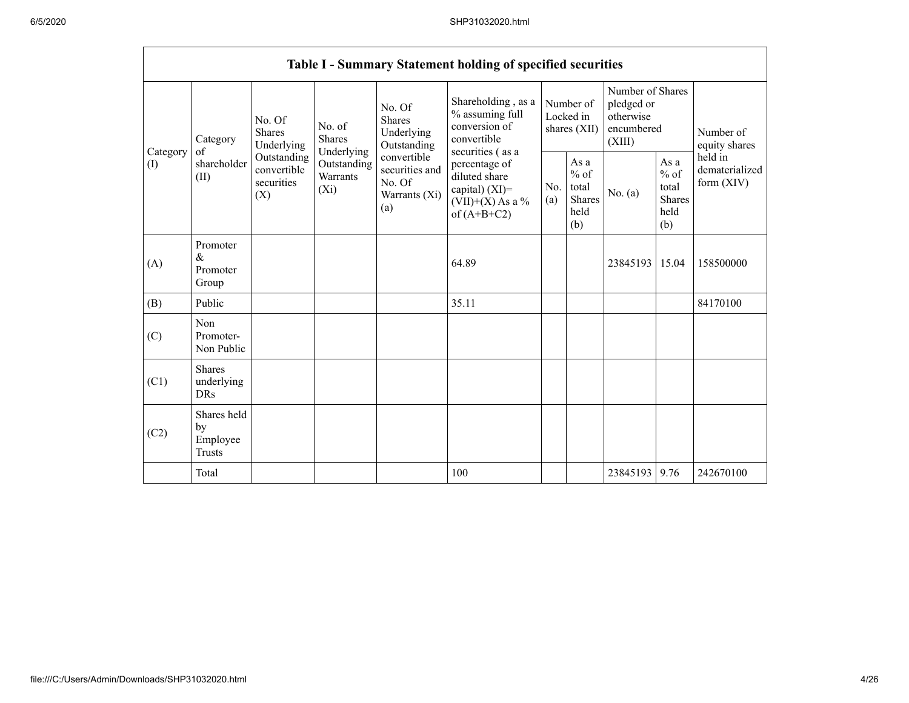$\mathbf{r}$ 

|          |                                                |                                                 |                                       |                                                                 | Table I - Summary Statement holding of specified securities                               |            |                                                         |                                                                     |                                                         |                                         |
|----------|------------------------------------------------|-------------------------------------------------|---------------------------------------|-----------------------------------------------------------------|-------------------------------------------------------------------------------------------|------------|---------------------------------------------------------|---------------------------------------------------------------------|---------------------------------------------------------|-----------------------------------------|
| Category | Category<br>of                                 | No. Of<br><b>Shares</b><br>Underlying           | No. of<br><b>Shares</b><br>Underlying | No. Of<br>Shares<br>Underlying<br>Outstanding                   | Shareholding, as a<br>% assuming full<br>conversion of<br>convertible<br>securities (as a |            | Number of<br>Locked in<br>shares (XII)                  | Number of Shares<br>pledged or<br>otherwise<br>encumbered<br>(XIII) |                                                         | Number of<br>equity shares              |
| (1)      | shareholder<br>(II)                            | Outstanding<br>convertible<br>securities<br>(X) | Outstanding<br>Warrants<br>$(X_i)$    | convertible<br>securities and<br>No. Of<br>Warrants (Xi)<br>(a) | percentage of<br>diluted share<br>capital) (XI)=<br>$(VII)+(X)$ As a %<br>of $(A+B+C2)$   | No.<br>(a) | As a<br>$%$ of<br>total<br><b>Shares</b><br>held<br>(b) | No. (a)                                                             | As a<br>$%$ of<br>total<br><b>Shares</b><br>held<br>(b) | held in<br>dematerialized<br>form (XIV) |
| (A)      | Promoter<br>$\&$<br>Promoter<br>Group          |                                                 |                                       |                                                                 | 64.89                                                                                     |            |                                                         | 23845193                                                            | 15.04                                                   | 158500000                               |
| (B)      | Public                                         |                                                 |                                       |                                                                 | 35.11                                                                                     |            |                                                         |                                                                     |                                                         | 84170100                                |
| (C)      | <b>Non</b><br>Promoter-<br>Non Public          |                                                 |                                       |                                                                 |                                                                                           |            |                                                         |                                                                     |                                                         |                                         |
| (C1)     | <b>Shares</b><br>underlying<br><b>DRs</b>      |                                                 |                                       |                                                                 |                                                                                           |            |                                                         |                                                                     |                                                         |                                         |
| (C2)     | Shares held<br>by<br>Employee<br><b>Trusts</b> |                                                 |                                       |                                                                 |                                                                                           |            |                                                         |                                                                     |                                                         |                                         |
|          | Total                                          |                                                 |                                       |                                                                 | 100                                                                                       |            |                                                         | 23845193                                                            | 9.76                                                    | 242670100                               |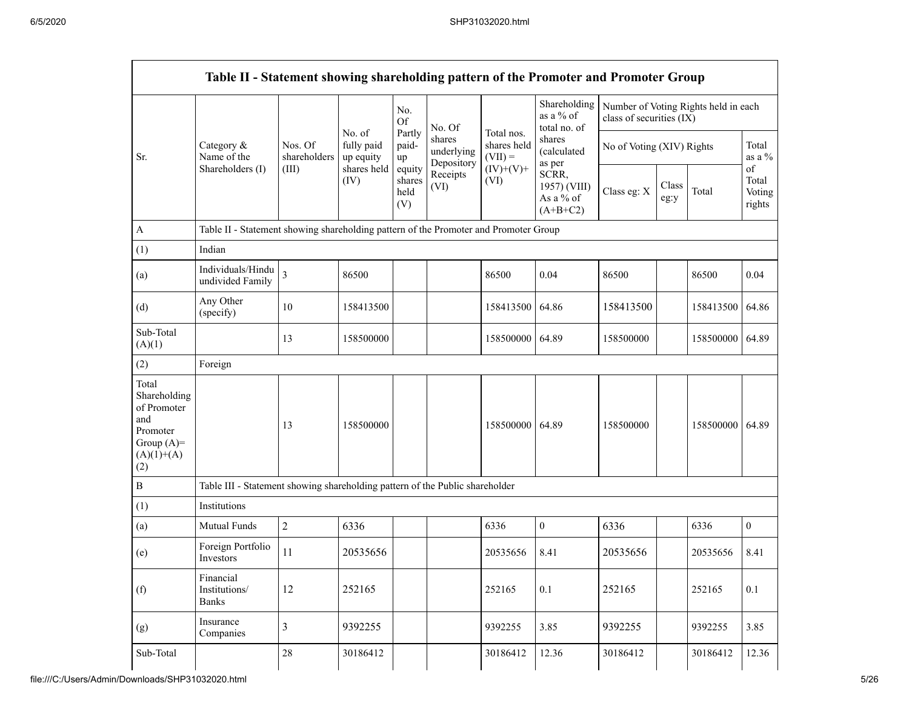$\blacksquare$ 

|                                                                                                | Table II - Statement showing shareholding pattern of the Promoter and Promoter Group |                         |                                   |                                 |                                    |                                        |                                                  |                                                                  |               |           |                                 |
|------------------------------------------------------------------------------------------------|--------------------------------------------------------------------------------------|-------------------------|-----------------------------------|---------------------------------|------------------------------------|----------------------------------------|--------------------------------------------------|------------------------------------------------------------------|---------------|-----------|---------------------------------|
|                                                                                                |                                                                                      |                         |                                   | No.<br>Of                       | No. Of                             |                                        | Shareholding<br>as a $%$ of<br>total no. of      | Number of Voting Rights held in each<br>class of securities (IX) |               |           |                                 |
| Sr.                                                                                            | Category &<br>Name of the                                                            | Nos. Of<br>shareholders | No. of<br>fully paid<br>up equity | Partly<br>paid-<br>up           | shares<br>underlying<br>Depository | Total nos.<br>shares held<br>$(VII) =$ | shares<br>(calculated<br>as per                  | No of Voting (XIV) Rights                                        |               |           | Total<br>as a %                 |
|                                                                                                | Shareholders (I)                                                                     | (III)                   | shares held<br>(IV)               | equity<br>shares<br>held<br>(V) | Receipts<br>(VI)                   | $(IV)+(V)+$<br>(VI)                    | SCRR,<br>1957) (VIII)<br>As a % of<br>$(A+B+C2)$ | Class eg: X                                                      | Class<br>eg:y | Total     | οf<br>Total<br>Voting<br>rights |
| A                                                                                              | Table II - Statement showing shareholding pattern of the Promoter and Promoter Group |                         |                                   |                                 |                                    |                                        |                                                  |                                                                  |               |           |                                 |
| (1)                                                                                            | Indian                                                                               |                         |                                   |                                 |                                    |                                        |                                                  |                                                                  |               |           |                                 |
| (a)                                                                                            | Individuals/Hindu<br>undivided Family                                                | $\overline{3}$          | 86500                             |                                 |                                    | 86500                                  | 0.04                                             | 86500                                                            |               | 86500     | 0.04                            |
| (d)                                                                                            | Any Other<br>(specify)                                                               | 10                      | 158413500                         |                                 |                                    | 158413500                              | 64.86                                            | 158413500                                                        |               | 158413500 | 64.86                           |
| Sub-Total<br>(A)(1)                                                                            |                                                                                      | 13                      | 158500000                         |                                 |                                    | 158500000                              | 64.89                                            | 158500000                                                        |               | 158500000 | 64.89                           |
| (2)                                                                                            | Foreign                                                                              |                         |                                   |                                 |                                    |                                        |                                                  |                                                                  |               |           |                                 |
| Total<br>Shareholding<br>of Promoter<br>and<br>Promoter<br>Group $(A)=$<br>$(A)(1)+(A)$<br>(2) |                                                                                      | 13                      | 158500000                         |                                 |                                    | 158500000                              | 64.89                                            | 158500000                                                        |               | 158500000 | 64.89                           |
| $\, {\bf B}$                                                                                   | Table III - Statement showing shareholding pattern of the Public shareholder         |                         |                                   |                                 |                                    |                                        |                                                  |                                                                  |               |           |                                 |
| (1)                                                                                            | Institutions                                                                         |                         |                                   |                                 |                                    |                                        |                                                  |                                                                  |               |           |                                 |
| (a)                                                                                            | Mutual Funds                                                                         | $\sqrt{2}$              | 6336                              |                                 |                                    | 6336                                   | $\mathbf{0}$                                     | 6336                                                             |               | 6336      | $\overline{0}$                  |
| (e)                                                                                            | Foreign Portfolio<br>Investors                                                       | 11                      | 20535656                          |                                 |                                    | 20535656                               | 8.41                                             | 20535656                                                         |               | 20535656  | 8.41                            |
| (f)                                                                                            | Financial<br>Institutions/<br><b>Banks</b>                                           | 12                      | 252165                            |                                 |                                    | 252165                                 | 0.1                                              | 252165                                                           |               | 252165    | 0.1                             |
| (g)                                                                                            | Insurance<br>Companies                                                               | $\overline{3}$          | 9392255                           |                                 |                                    | 9392255                                | 3.85                                             | 9392255                                                          |               | 9392255   | 3.85                            |
| Sub-Total                                                                                      |                                                                                      | $28\,$                  | 30186412                          |                                 |                                    | 30186412                               | 12.36                                            | 30186412                                                         |               | 30186412  | 12.36                           |

ㄱ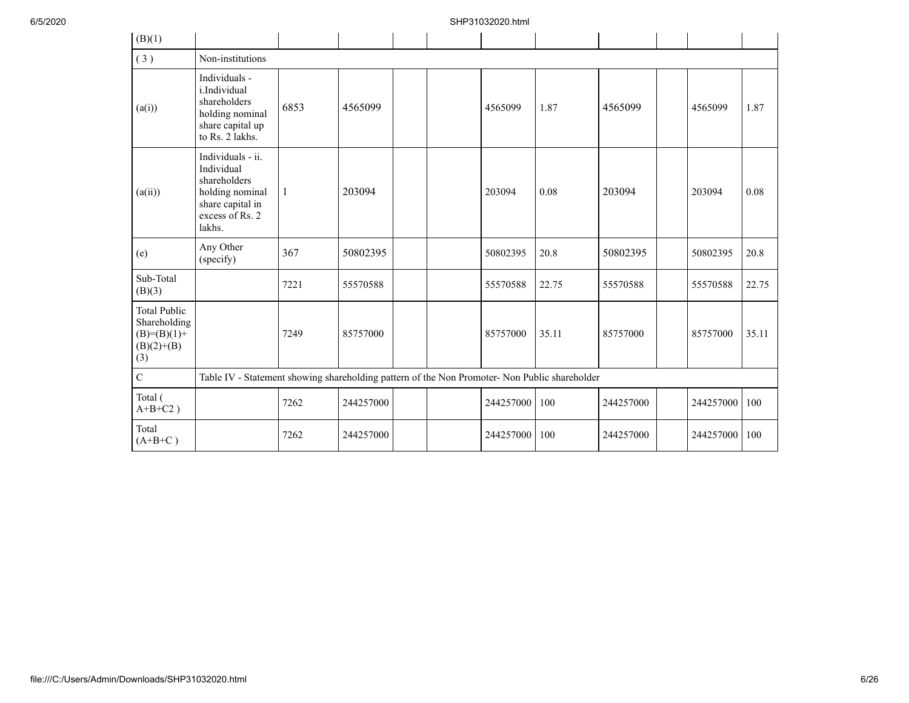| (B)(1)                                                                        |                                                                                                                     |                                                                                               |           |  |  |           |       |           |  |           |       |
|-------------------------------------------------------------------------------|---------------------------------------------------------------------------------------------------------------------|-----------------------------------------------------------------------------------------------|-----------|--|--|-----------|-------|-----------|--|-----------|-------|
| (3)                                                                           | Non-institutions                                                                                                    |                                                                                               |           |  |  |           |       |           |  |           |       |
| (a(i))                                                                        | Individuals -<br>i.Individual<br>shareholders<br>holding nominal<br>share capital up<br>to Rs. 2 lakhs.             | 6853                                                                                          | 4565099   |  |  | 4565099   | 1.87  | 4565099   |  | 4565099   | 1.87  |
| (a(ii))                                                                       | Individuals - ii.<br>Individual<br>shareholders<br>holding nominal<br>share capital in<br>excess of Rs. 2<br>lakhs. | $\mathbf{1}$                                                                                  | 203094    |  |  | 203094    | 0.08  | 203094    |  | 203094    | 0.08  |
| (e)                                                                           | Any Other<br>(specify)                                                                                              | 367                                                                                           | 50802395  |  |  | 50802395  | 20.8  | 50802395  |  | 50802395  | 20.8  |
| Sub-Total<br>(B)(3)                                                           |                                                                                                                     | 7221                                                                                          | 55570588  |  |  | 55570588  | 22.75 | 55570588  |  | 55570588  | 22.75 |
| <b>Total Public</b><br>Shareholding<br>$(B)= (B)(1) +$<br>$(B)(2)+(B)$<br>(3) |                                                                                                                     | 7249                                                                                          | 85757000  |  |  | 85757000  | 35.11 | 85757000  |  | 85757000  | 35.11 |
| $\overline{C}$                                                                |                                                                                                                     | Table IV - Statement showing shareholding pattern of the Non Promoter- Non Public shareholder |           |  |  |           |       |           |  |           |       |
| Total (<br>$A+B+C2$ )                                                         |                                                                                                                     | 7262                                                                                          | 244257000 |  |  | 244257000 | 100   | 244257000 |  | 244257000 | 100   |
| Total<br>$(A+B+C)$                                                            |                                                                                                                     | 7262                                                                                          | 244257000 |  |  | 244257000 | 100   | 244257000 |  | 244257000 | 100   |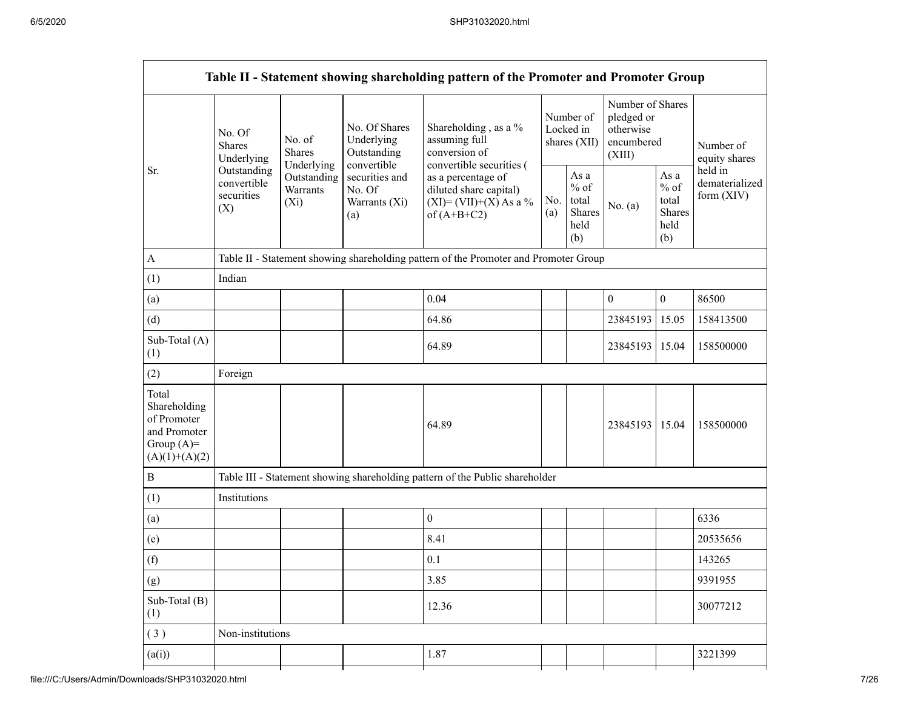|                                                                                         |                                                 |                                       |                                                           | Table II - Statement showing shareholding pattern of the Promoter and Promoter Group     |            |                                                  |                                                                     |                                                         |                                         |  |
|-----------------------------------------------------------------------------------------|-------------------------------------------------|---------------------------------------|-----------------------------------------------------------|------------------------------------------------------------------------------------------|------------|--------------------------------------------------|---------------------------------------------------------------------|---------------------------------------------------------|-----------------------------------------|--|
|                                                                                         | No. Of<br><b>Shares</b><br>Underlying           | No. of<br><b>Shares</b><br>Underlying | No. Of Shares<br>Underlying<br>Outstanding<br>convertible | Shareholding, as a %<br>assuming full<br>conversion of<br>convertible securities (       |            | Number of<br>Locked in<br>shares (XII)           | Number of Shares<br>pledged or<br>otherwise<br>encumbered<br>(XIII) |                                                         | Number of<br>equity shares              |  |
| Sr.                                                                                     | Outstanding<br>convertible<br>securities<br>(X) | Outstanding<br>Warrants<br>$(X_i)$    | securities and<br>No. Of<br>Warrants (Xi)<br>(a)          | as a percentage of<br>diluted share capital)<br>$(XI)=(VII)+(X) As a %$<br>of $(A+B+C2)$ | No.<br>(a) | As a<br>$%$ of<br>total<br>Shares<br>held<br>(b) | No. (a)                                                             | As a<br>$%$ of<br>total<br><b>Shares</b><br>held<br>(b) | held in<br>dematerialized<br>form (XIV) |  |
| $\mathbf{A}$                                                                            |                                                 |                                       |                                                           | Table II - Statement showing shareholding pattern of the Promoter and Promoter Group     |            |                                                  |                                                                     |                                                         |                                         |  |
| (1)                                                                                     | Indian                                          |                                       |                                                           |                                                                                          |            |                                                  |                                                                     |                                                         |                                         |  |
| (a)                                                                                     |                                                 |                                       |                                                           | 0.04                                                                                     |            |                                                  | $\boldsymbol{0}$                                                    | $\boldsymbol{0}$                                        | 86500                                   |  |
| (d)                                                                                     |                                                 |                                       |                                                           | 64.86                                                                                    |            |                                                  | 23845193                                                            | 15.05                                                   | 158413500                               |  |
| Sub-Total (A)<br>(1)                                                                    |                                                 |                                       |                                                           | 64.89                                                                                    |            |                                                  | 23845193                                                            | 15.04                                                   | 158500000                               |  |
| (2)                                                                                     | Foreign                                         |                                       |                                                           |                                                                                          |            |                                                  |                                                                     |                                                         |                                         |  |
| Total<br>Shareholding<br>of Promoter<br>and Promoter<br>Group $(A)=$<br>$(A)(1)+(A)(2)$ |                                                 |                                       |                                                           | 64.89                                                                                    |            |                                                  | 23845193                                                            | 15.04                                                   | 158500000                               |  |
| $\, {\bf B}$                                                                            |                                                 |                                       |                                                           | Table III - Statement showing shareholding pattern of the Public shareholder             |            |                                                  |                                                                     |                                                         |                                         |  |
| (1)                                                                                     | Institutions                                    |                                       |                                                           |                                                                                          |            |                                                  |                                                                     |                                                         |                                         |  |
| (a)                                                                                     |                                                 |                                       |                                                           | $\boldsymbol{0}$                                                                         |            |                                                  |                                                                     |                                                         | 6336                                    |  |
| (e)                                                                                     |                                                 |                                       |                                                           | 8.41                                                                                     |            |                                                  |                                                                     |                                                         | 20535656                                |  |
| (f)                                                                                     |                                                 |                                       |                                                           | 0.1                                                                                      |            |                                                  |                                                                     |                                                         | 143265                                  |  |
| (g)                                                                                     |                                                 |                                       |                                                           | 3.85                                                                                     |            |                                                  |                                                                     |                                                         | 9391955                                 |  |
| Sub-Total (B)<br>(1)                                                                    |                                                 |                                       |                                                           | 12.36                                                                                    |            |                                                  |                                                                     |                                                         | 30077212                                |  |
| (3)                                                                                     | Non-institutions                                |                                       |                                                           |                                                                                          |            |                                                  |                                                                     |                                                         |                                         |  |
| (a(i))                                                                                  |                                                 |                                       |                                                           | 1.87                                                                                     |            |                                                  |                                                                     |                                                         | 3221399                                 |  |
|                                                                                         |                                                 |                                       |                                                           |                                                                                          |            |                                                  |                                                                     |                                                         |                                         |  |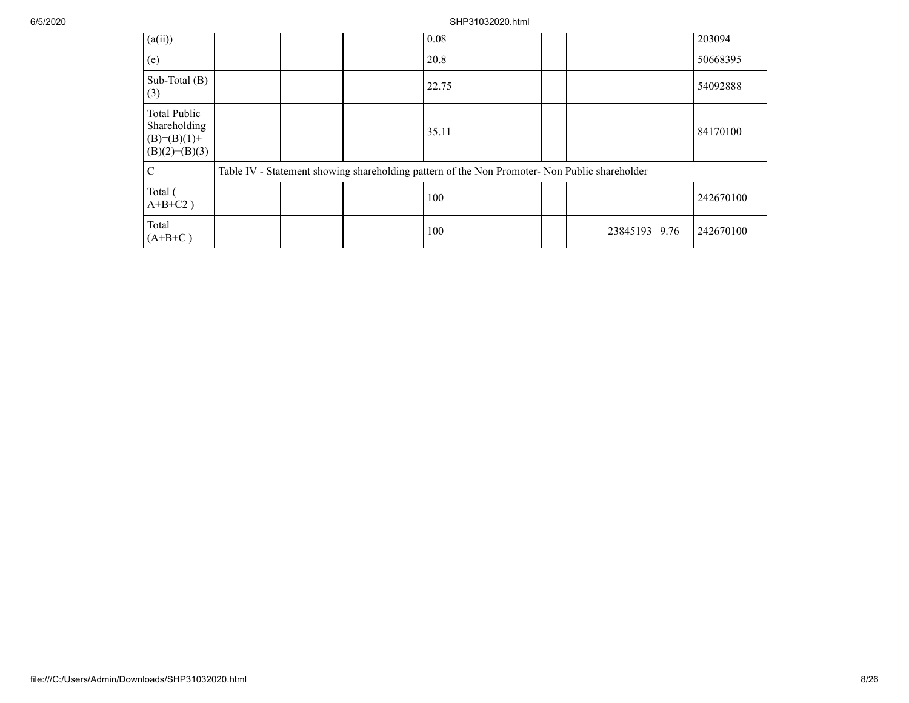| (a(ii))                                                                 |  | 0.08                                                                                          |  |          |      | 203094    |
|-------------------------------------------------------------------------|--|-----------------------------------------------------------------------------------------------|--|----------|------|-----------|
| (e)                                                                     |  | 20.8                                                                                          |  |          |      | 50668395  |
| Sub-Total $(B)$<br>(3)                                                  |  | 22.75                                                                                         |  |          |      | 54092888  |
| <b>Total Public</b><br>Shareholding<br>$(B)=(B)(1)+$<br>$(B)(2)+(B)(3)$ |  | 35.11                                                                                         |  |          |      | 84170100  |
| C                                                                       |  | Table IV - Statement showing shareholding pattern of the Non Promoter- Non Public shareholder |  |          |      |           |
| Total (<br>$A+B+C2$ )                                                   |  | 100                                                                                           |  |          |      | 242670100 |
| Total<br>$(A+B+C)$                                                      |  | 100                                                                                           |  | 23845193 | 9.76 | 242670100 |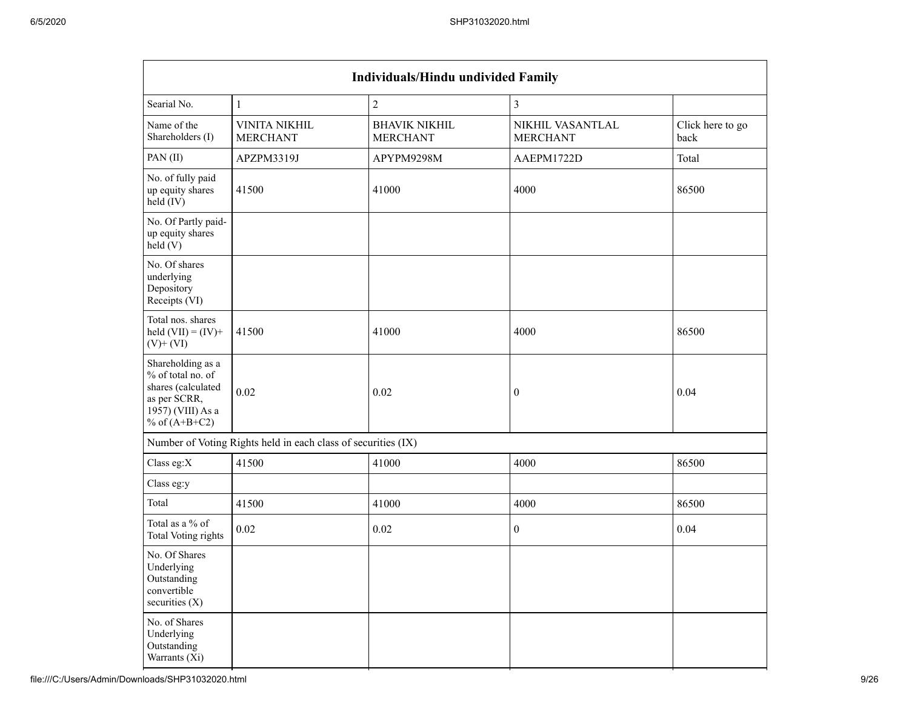| Individuals/Hindu undivided Family                                                                                   |                                                               |                                         |                                     |                          |  |  |  |  |  |  |  |  |  |  |
|----------------------------------------------------------------------------------------------------------------------|---------------------------------------------------------------|-----------------------------------------|-------------------------------------|--------------------------|--|--|--|--|--|--|--|--|--|--|
| Searial No.                                                                                                          | $\overline{2}$<br>$\mathfrak{Z}$<br>$\mathbf{1}$              |                                         |                                     |                          |  |  |  |  |  |  |  |  |  |  |
| Name of the<br>Shareholders (I)                                                                                      | <b>VINITA NIKHIL</b><br><b>MERCHANT</b>                       | <b>BHAVIK NIKHIL</b><br><b>MERCHANT</b> | NIKHIL VASANTLAL<br><b>MERCHANT</b> | Click here to go<br>back |  |  |  |  |  |  |  |  |  |  |
| PAN (II)                                                                                                             | APZPM3319J                                                    | APYPM9298M                              | AAEPM1722D                          | Total                    |  |  |  |  |  |  |  |  |  |  |
| No. of fully paid<br>up equity shares<br>held (IV)                                                                   | 41500                                                         | 41000                                   | 4000                                | 86500                    |  |  |  |  |  |  |  |  |  |  |
| No. Of Partly paid-<br>up equity shares<br>held(V)                                                                   |                                                               |                                         |                                     |                          |  |  |  |  |  |  |  |  |  |  |
| No. Of shares<br>underlying<br>Depository<br>Receipts (VI)                                                           |                                                               |                                         |                                     |                          |  |  |  |  |  |  |  |  |  |  |
| Total nos. shares<br>held $(VII) = (IV) +$<br>$(V)+(VI)$                                                             | 41500                                                         | 41000                                   | 4000                                | 86500                    |  |  |  |  |  |  |  |  |  |  |
| Shareholding as a<br>% of total no. of<br>shares (calculated<br>as per SCRR,<br>1957) (VIII) As a<br>% of $(A+B+C2)$ | 0.02                                                          | 0.02                                    | $\boldsymbol{0}$                    | 0.04                     |  |  |  |  |  |  |  |  |  |  |
|                                                                                                                      | Number of Voting Rights held in each class of securities (IX) |                                         |                                     |                          |  |  |  |  |  |  |  |  |  |  |
| Class eg:X                                                                                                           | 41500                                                         | 41000                                   | 4000                                | 86500                    |  |  |  |  |  |  |  |  |  |  |
| Class eg:y                                                                                                           |                                                               |                                         |                                     |                          |  |  |  |  |  |  |  |  |  |  |
| Total                                                                                                                | 41500                                                         | 41000                                   | 4000                                | 86500                    |  |  |  |  |  |  |  |  |  |  |
| Total as a % of<br>Total Voting rights                                                                               | 0.02                                                          | 0.02                                    | $\boldsymbol{0}$                    | 0.04                     |  |  |  |  |  |  |  |  |  |  |
| No. Of Shares<br>Underlying<br>Outstanding<br>convertible<br>securities $(X)$                                        |                                                               |                                         |                                     |                          |  |  |  |  |  |  |  |  |  |  |
| No. of Shares<br>Underlying<br>Outstanding<br>Warrants (Xi)                                                          |                                                               |                                         |                                     |                          |  |  |  |  |  |  |  |  |  |  |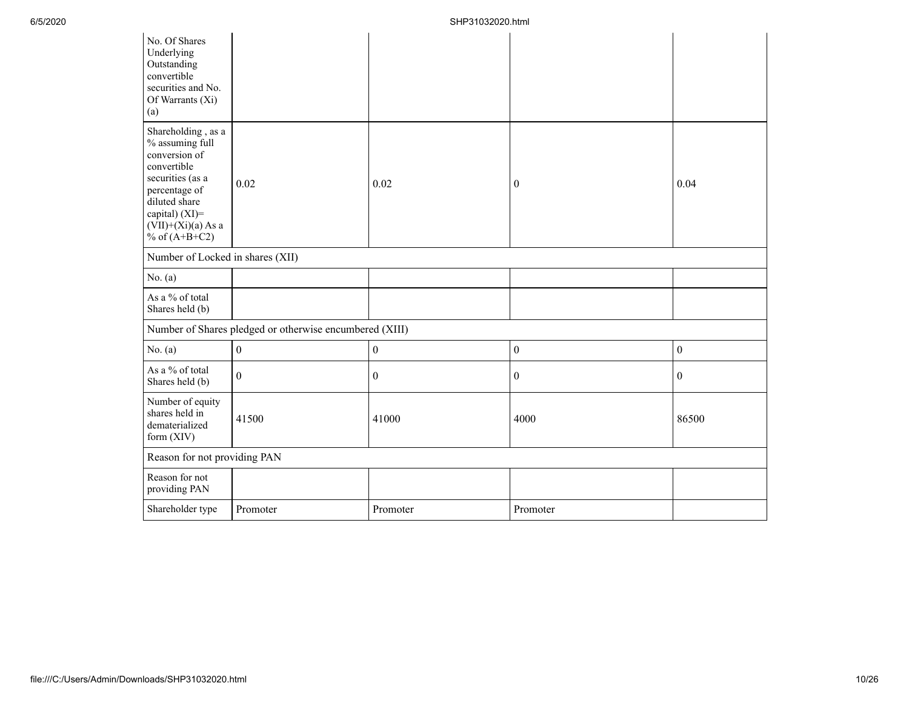| No. Of Shares<br>Underlying<br>Outstanding<br>convertible<br>securities and No.<br>Of Warrants (Xi)<br>(a)                                                                               |                                                         |                  |                  |                  |
|------------------------------------------------------------------------------------------------------------------------------------------------------------------------------------------|---------------------------------------------------------|------------------|------------------|------------------|
| Shareholding, as a<br>% assuming full<br>conversion of<br>convertible<br>securities (as a<br>percentage of<br>diluted share<br>capital) (XI)=<br>$(VII)+(Xi)(a)$ As a<br>% of $(A+B+C2)$ | 0.02                                                    | 0.02             | $\overline{0}$   | 0.04             |
| Number of Locked in shares (XII)                                                                                                                                                         |                                                         |                  |                  |                  |
| No. $(a)$                                                                                                                                                                                |                                                         |                  |                  |                  |
| As a % of total<br>Shares held (b)                                                                                                                                                       |                                                         |                  |                  |                  |
|                                                                                                                                                                                          | Number of Shares pledged or otherwise encumbered (XIII) |                  |                  |                  |
| No. $(a)$                                                                                                                                                                                | $\boldsymbol{0}$                                        | $\boldsymbol{0}$ | $\boldsymbol{0}$ | $\boldsymbol{0}$ |
| As a % of total<br>Shares held (b)                                                                                                                                                       | $\mathbf{0}$                                            | $\mathbf{0}$     | $\mathbf{0}$     | $\boldsymbol{0}$ |
| Number of equity<br>shares held in<br>dematerialized<br>form $(XIV)$                                                                                                                     | 41500                                                   | 41000            | 4000             | 86500            |
| Reason for not providing PAN                                                                                                                                                             |                                                         |                  |                  |                  |
| Reason for not<br>providing PAN                                                                                                                                                          |                                                         |                  |                  |                  |
| Shareholder type                                                                                                                                                                         | Promoter                                                | Promoter         | Promoter         |                  |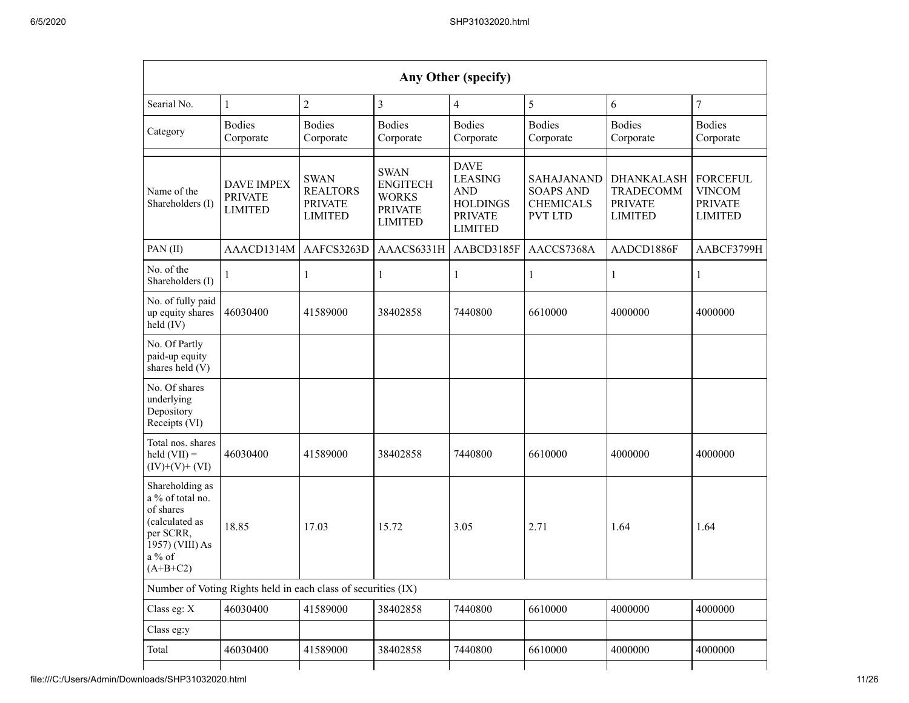|                                                                                                                            |                                                               |                                                                    |                                                                                    | Any Other (specify)                                                                                |                                                                             |                                                                    |                                                                      |
|----------------------------------------------------------------------------------------------------------------------------|---------------------------------------------------------------|--------------------------------------------------------------------|------------------------------------------------------------------------------------|----------------------------------------------------------------------------------------------------|-----------------------------------------------------------------------------|--------------------------------------------------------------------|----------------------------------------------------------------------|
| Searial No.                                                                                                                | $\mathbf{1}$                                                  | $\overline{c}$                                                     | 3                                                                                  | 4                                                                                                  | 5                                                                           | 6                                                                  | $\overline{7}$                                                       |
| Category                                                                                                                   | <b>Bodies</b><br>Corporate                                    | <b>Bodies</b><br>Corporate                                         | <b>Bodies</b><br>Corporate                                                         | <b>Bodies</b><br>Corporate                                                                         | <b>Bodies</b><br>Corporate                                                  | <b>Bodies</b><br>Corporate                                         | <b>Bodies</b><br>Corporate                                           |
| Name of the<br>Shareholders (I)                                                                                            | <b>DAVE IMPEX</b><br><b>PRIVATE</b><br><b>LIMITED</b>         | <b>SWAN</b><br><b>REALTORS</b><br><b>PRIVATE</b><br><b>LIMITED</b> | <b>SWAN</b><br><b>ENGITECH</b><br><b>WORKS</b><br><b>PRIVATE</b><br><b>LIMITED</b> | <b>DAVE</b><br><b>LEASING</b><br><b>AND</b><br><b>HOLDINGS</b><br><b>PRIVATE</b><br><b>LIMITED</b> | <b>SAHAJANAND</b><br><b>SOAPS AND</b><br><b>CHEMICALS</b><br><b>PVT LTD</b> | <b>DHANKALASH</b><br>TRADECOMM<br><b>PRIVATE</b><br><b>LIMITED</b> | <b>FORCEFUL</b><br><b>VINCOM</b><br><b>PRIVATE</b><br><b>LIMITED</b> |
| PAN(II)                                                                                                                    | AAACD1314M                                                    | AAFCS3263D                                                         | AAACS6331H                                                                         | AABCD3185F                                                                                         | AACCS7368A                                                                  | AADCD1886F                                                         | AABCF3799H                                                           |
| No. of the<br>Shareholders (I)                                                                                             | 1                                                             | 1                                                                  | 1                                                                                  | 1                                                                                                  | 1                                                                           | 1                                                                  | 1                                                                    |
| No. of fully paid<br>up equity shares<br>held (IV)                                                                         | 46030400                                                      | 41589000                                                           | 38402858                                                                           | 7440800                                                                                            | 6610000                                                                     | 4000000                                                            | 4000000                                                              |
| No. Of Partly<br>paid-up equity<br>shares held (V)                                                                         |                                                               |                                                                    |                                                                                    |                                                                                                    |                                                                             |                                                                    |                                                                      |
| No. Of shares<br>underlying<br>Depository<br>Receipts (VI)                                                                 |                                                               |                                                                    |                                                                                    |                                                                                                    |                                                                             |                                                                    |                                                                      |
| Total nos. shares<br>$\text{held (VII)} =$<br>$(IV)+(V)+(VI)$                                                              | 46030400                                                      | 41589000                                                           | 38402858                                                                           | 7440800                                                                                            | 6610000                                                                     | 4000000                                                            | 4000000                                                              |
| Shareholding as<br>a % of total no.<br>of shares<br>(calculated as<br>per SCRR,<br>1957) (VIII) As<br>a % of<br>$(A+B+C2)$ | 18.85                                                         | 17.03                                                              | 15.72                                                                              | 3.05                                                                                               | 2.71                                                                        | 1.64                                                               | 1.64                                                                 |
|                                                                                                                            | Number of Voting Rights held in each class of securities (IX) |                                                                    |                                                                                    |                                                                                                    |                                                                             |                                                                    |                                                                      |
| Class eg: X                                                                                                                | 46030400                                                      | 41589000                                                           | 38402858                                                                           | 7440800                                                                                            | 6610000                                                                     | 4000000                                                            | 4000000                                                              |
| Class eg:y                                                                                                                 |                                                               |                                                                    |                                                                                    |                                                                                                    |                                                                             |                                                                    |                                                                      |
| Total                                                                                                                      | 46030400                                                      | 41589000                                                           | 38402858                                                                           | 7440800                                                                                            | 6610000                                                                     | 4000000                                                            | 4000000                                                              |
|                                                                                                                            |                                                               |                                                                    |                                                                                    |                                                                                                    |                                                                             |                                                                    |                                                                      |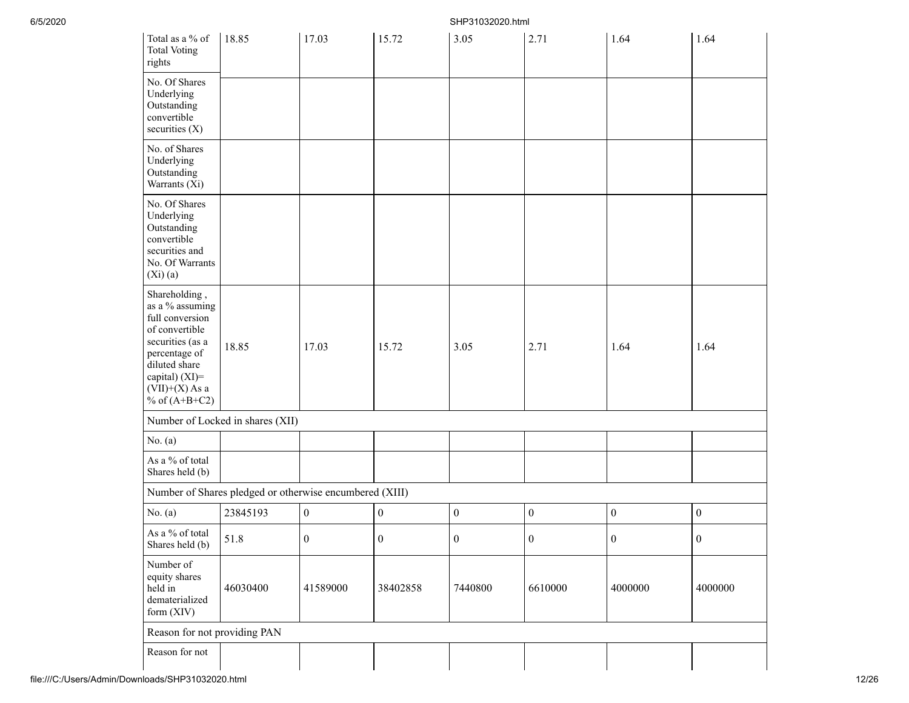| Total as a $\%$ of<br><b>Total Voting</b><br>rights                                                                                                                                  | 18.85                                                   | 17.03            | 15.72            | 3.05             | 2.71             | 1.64             | 1.64             |
|--------------------------------------------------------------------------------------------------------------------------------------------------------------------------------------|---------------------------------------------------------|------------------|------------------|------------------|------------------|------------------|------------------|
| No. Of Shares<br>Underlying<br>Outstanding<br>convertible<br>securities (X)                                                                                                          |                                                         |                  |                  |                  |                  |                  |                  |
| No. of Shares<br>Underlying<br>Outstanding<br>Warrants (Xi)                                                                                                                          |                                                         |                  |                  |                  |                  |                  |                  |
| No. Of Shares<br>Underlying<br>Outstanding<br>convertible<br>securities and<br>No. Of Warrants<br>$(Xi)$ $(a)$                                                                       |                                                         |                  |                  |                  |                  |                  |                  |
| Shareholding,<br>as a % assuming<br>full conversion<br>of convertible<br>securities (as a<br>percentage of<br>diluted share<br>capital) (XI)=<br>$(VII)+(X)$ As a<br>% of $(A+B+C2)$ | 18.85                                                   | 17.03            | 15.72            | 3.05             | 2.71             | 1.64             | 1.64             |
|                                                                                                                                                                                      | Number of Locked in shares (XII)                        |                  |                  |                  |                  |                  |                  |
| No. (a)                                                                                                                                                                              |                                                         |                  |                  |                  |                  |                  |                  |
| As a % of total<br>Shares held (b)                                                                                                                                                   |                                                         |                  |                  |                  |                  |                  |                  |
|                                                                                                                                                                                      | Number of Shares pledged or otherwise encumbered (XIII) |                  |                  |                  |                  |                  |                  |
| No. $(a)$                                                                                                                                                                            | 23845193                                                | $\boldsymbol{0}$ | $\boldsymbol{0}$ | $\boldsymbol{0}$ | $\boldsymbol{0}$ | $\boldsymbol{0}$ | $\boldsymbol{0}$ |
| As a % of total<br>Shares held (b)                                                                                                                                                   | 51.8                                                    | $\boldsymbol{0}$ | $\boldsymbol{0}$ | $\boldsymbol{0}$ | $\boldsymbol{0}$ | $\boldsymbol{0}$ | $\boldsymbol{0}$ |
| Number of<br>equity shares<br>held in<br>dematerialized<br>form (XIV)                                                                                                                | 46030400                                                | 41589000         | 38402858         | 7440800          | 6610000          | 4000000          | 4000000          |
| Reason for not providing PAN                                                                                                                                                         |                                                         |                  |                  |                  |                  |                  |                  |
| Reason for not                                                                                                                                                                       |                                                         |                  |                  |                  |                  |                  |                  |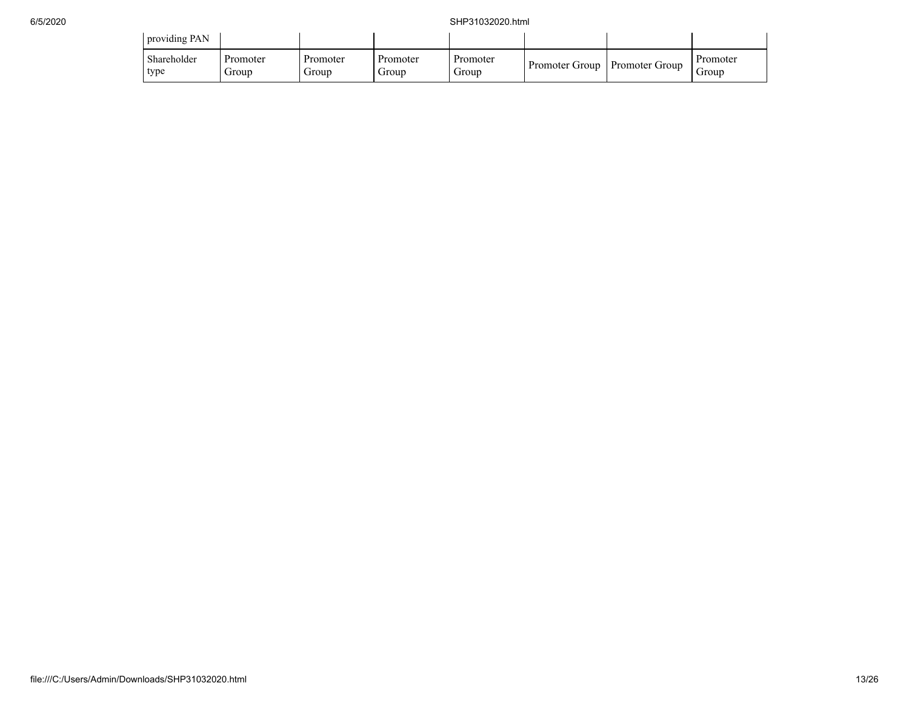| providing PAN       |                   |                   |                   |                   |                                 |                   |
|---------------------|-------------------|-------------------|-------------------|-------------------|---------------------------------|-------------------|
| Shareholder<br>type | Promoter<br>Group | Promoter<br>Group | Promoter<br>Group | Promoter<br>Group | Promoter Group   Promoter Group | Promoter<br>Group |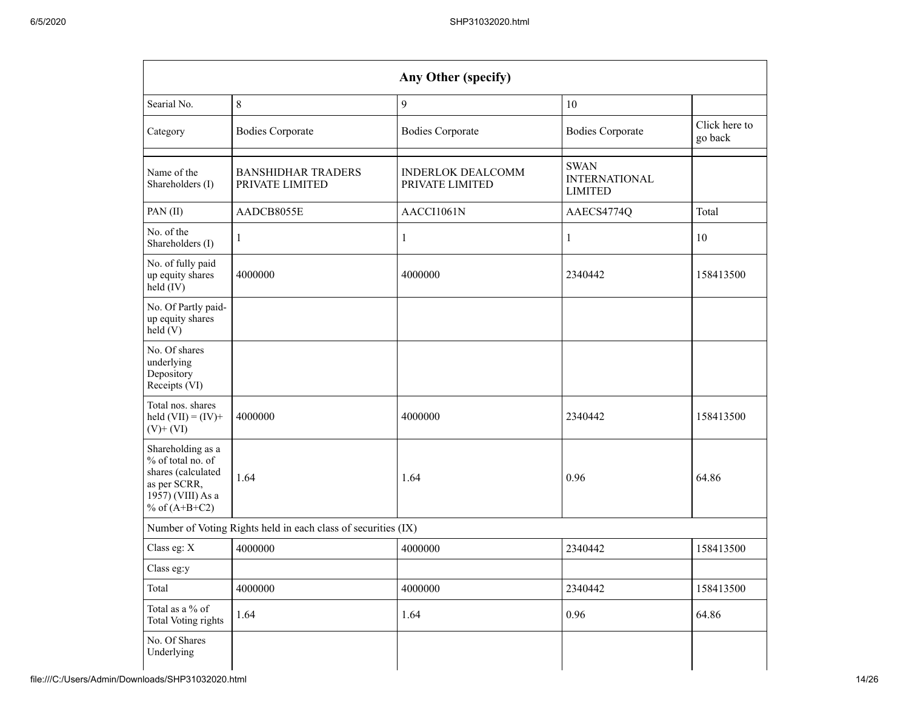|                                                                                                                      |                                                               | Any Other (specify)                         |                                                       |                          |
|----------------------------------------------------------------------------------------------------------------------|---------------------------------------------------------------|---------------------------------------------|-------------------------------------------------------|--------------------------|
| Searial No.                                                                                                          | 8                                                             | $\overline{9}$                              | 10                                                    |                          |
| Category                                                                                                             | <b>Bodies Corporate</b>                                       | <b>Bodies Corporate</b>                     | <b>Bodies Corporate</b>                               | Click here to<br>go back |
| Name of the<br>Shareholders (I)                                                                                      | <b>BANSHIDHAR TRADERS</b><br>PRIVATE LIMITED                  | <b>INDERLOK DEALCOMM</b><br>PRIVATE LIMITED | <b>SWAN</b><br><b>INTERNATIONAL</b><br><b>LIMITED</b> |                          |
| PAN (II)                                                                                                             | AADCB8055E                                                    | AACCI1061N                                  | AAECS4774Q                                            | Total                    |
| No. of the<br>Shareholders (I)                                                                                       | 1                                                             | $\mathbf{1}$                                | $\mathbf{1}$                                          | 10                       |
| No. of fully paid<br>up equity shares<br>held (IV)                                                                   | 4000000                                                       | 4000000                                     | 2340442                                               | 158413500                |
| No. Of Partly paid-<br>up equity shares<br>held(V)                                                                   |                                                               |                                             |                                                       |                          |
| No. Of shares<br>underlying<br>Depository<br>Receipts (VI)                                                           |                                                               |                                             |                                                       |                          |
| Total nos. shares<br>held $(VII) = (IV) +$<br>$(V)+(VI)$                                                             | 4000000                                                       | 4000000                                     | 2340442                                               | 158413500                |
| Shareholding as a<br>% of total no. of<br>shares (calculated<br>as per SCRR,<br>1957) (VIII) As a<br>% of $(A+B+C2)$ | 1.64                                                          | 1.64                                        | 0.96                                                  | 64.86                    |
|                                                                                                                      | Number of Voting Rights held in each class of securities (IX) |                                             |                                                       |                          |
| Class eg: X                                                                                                          | 4000000                                                       | 4000000                                     | 2340442                                               | 158413500                |
| Class eg:y                                                                                                           |                                                               |                                             |                                                       |                          |
| Total                                                                                                                | 4000000                                                       | 4000000                                     | 2340442                                               | 158413500                |
| Total as a % of<br><b>Total Voting rights</b>                                                                        | 1.64                                                          | 1.64                                        | 0.96                                                  | 64.86                    |
| No. Of Shares<br>Underlying                                                                                          |                                                               |                                             |                                                       |                          |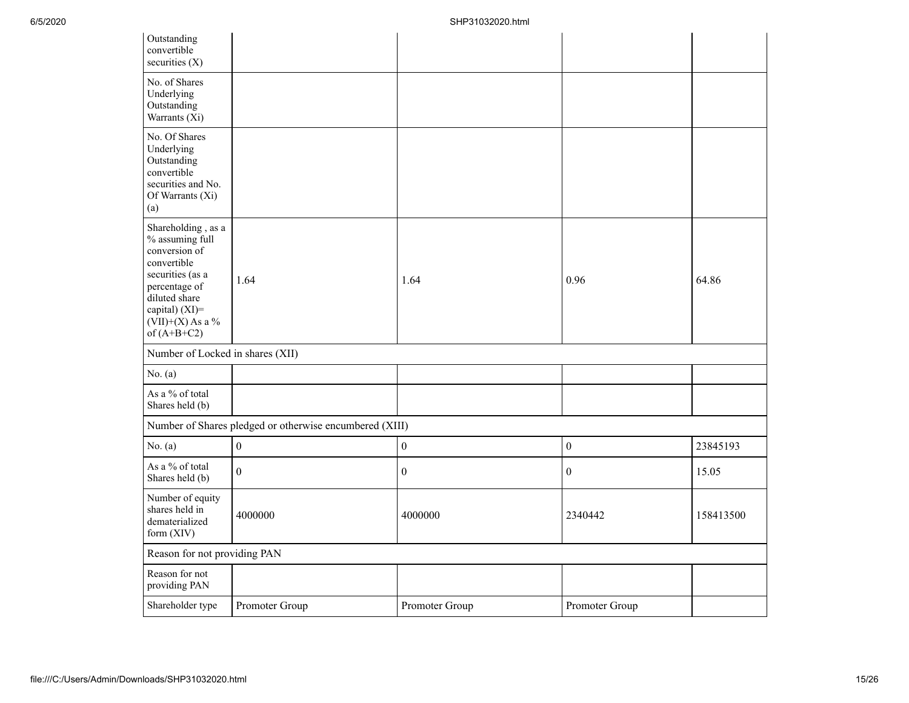| Outstanding<br>convertible<br>securities $(X)$                                                                                                                                       |                                                         |                  |                  |           |
|--------------------------------------------------------------------------------------------------------------------------------------------------------------------------------------|---------------------------------------------------------|------------------|------------------|-----------|
| No. of Shares<br>Underlying<br>Outstanding<br>Warrants (Xi)                                                                                                                          |                                                         |                  |                  |           |
| No. Of Shares<br>Underlying<br>Outstanding<br>convertible<br>securities and No.<br>Of Warrants (Xi)<br>(a)                                                                           |                                                         |                  |                  |           |
| Shareholding, as a<br>% assuming full<br>conversion of<br>convertible<br>securities (as a<br>percentage of<br>diluted share<br>capital) (XI)=<br>$(VII)+(X)$ As a %<br>of $(A+B+C2)$ | 1.64                                                    | 1.64             | 0.96             | 64.86     |
| Number of Locked in shares (XII)                                                                                                                                                     |                                                         |                  |                  |           |
| No. $(a)$                                                                                                                                                                            |                                                         |                  |                  |           |
| As a % of total<br>Shares held (b)                                                                                                                                                   |                                                         |                  |                  |           |
|                                                                                                                                                                                      | Number of Shares pledged or otherwise encumbered (XIII) |                  |                  |           |
| No. $(a)$                                                                                                                                                                            | $\mathbf{0}$                                            | $\overline{0}$   | $\boldsymbol{0}$ | 23845193  |
| As a % of total<br>Shares held (b)                                                                                                                                                   | $\overline{0}$                                          | $\boldsymbol{0}$ | $\boldsymbol{0}$ | 15.05     |
| Number of equity<br>shares held in<br>dematerialized<br>form (XIV)                                                                                                                   | 4000000                                                 | 4000000          | 2340442          | 158413500 |
| Reason for not providing PAN                                                                                                                                                         |                                                         |                  |                  |           |
| Reason for not<br>providing PAN                                                                                                                                                      |                                                         |                  |                  |           |
| Shareholder type                                                                                                                                                                     | Promoter Group                                          | Promoter Group   | Promoter Group   |           |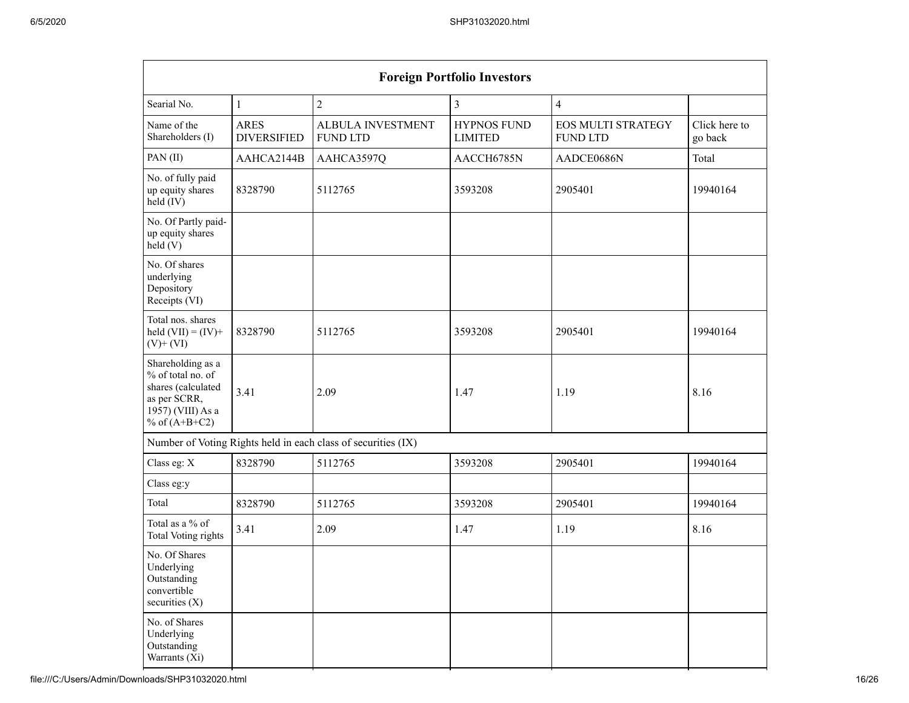|                                                                                                                      |                                   |                                                               | <b>Foreign Portfolio Investors</b>   |                                              |                          |
|----------------------------------------------------------------------------------------------------------------------|-----------------------------------|---------------------------------------------------------------|--------------------------------------|----------------------------------------------|--------------------------|
| Searial No.                                                                                                          | $\mathbf{1}$                      | $\overline{c}$                                                | $\mathfrak{Z}$                       | $\overline{4}$                               |                          |
| Name of the<br>Shareholders (I)                                                                                      | <b>ARES</b><br><b>DIVERSIFIED</b> | <b>ALBULA INVESTMENT</b><br><b>FUND LTD</b>                   | <b>HYPNOS FUND</b><br><b>LIMITED</b> | <b>EOS MULTI STRATEGY</b><br><b>FUND LTD</b> | Click here to<br>go back |
| PAN(II)                                                                                                              | AAHCA2144B                        | AAHCA3597Q                                                    | AACCH6785N                           | AADCE0686N                                   | Total                    |
| No. of fully paid<br>up equity shares<br>held (IV)                                                                   | 8328790                           | 5112765                                                       | 3593208                              | 2905401                                      | 19940164                 |
| No. Of Partly paid-<br>up equity shares<br>held(V)                                                                   |                                   |                                                               |                                      |                                              |                          |
| No. Of shares<br>underlying<br>Depository<br>Receipts (VI)                                                           |                                   |                                                               |                                      |                                              |                          |
| Total nos. shares<br>held $(VII) = (IV) +$<br>$(V)+(VI)$                                                             | 8328790                           | 5112765                                                       | 3593208                              | 2905401                                      | 19940164                 |
| Shareholding as a<br>% of total no. of<br>shares (calculated<br>as per SCRR,<br>1957) (VIII) As a<br>% of $(A+B+C2)$ | 3.41                              | 2.09                                                          | 1.47                                 | 1.19                                         | 8.16                     |
|                                                                                                                      |                                   | Number of Voting Rights held in each class of securities (IX) |                                      |                                              |                          |
| Class eg: X                                                                                                          | 8328790                           | 5112765                                                       | 3593208                              | 2905401                                      | 19940164                 |
| Class eg:y                                                                                                           |                                   |                                                               |                                      |                                              |                          |
| Total                                                                                                                | 8328790                           | 5112765                                                       | 3593208                              | 2905401                                      | 19940164                 |
| Total as a % of<br><b>Total Voting rights</b>                                                                        | 3.41                              | 2.09                                                          | 1.47                                 | 1.19                                         | 8.16                     |
| No. Of Shares<br>Underlying<br>Outstanding<br>convertible<br>securities (X)                                          |                                   |                                                               |                                      |                                              |                          |
| No. of Shares<br>Underlying<br>Outstanding<br>Warrants (Xi)                                                          |                                   |                                                               |                                      |                                              |                          |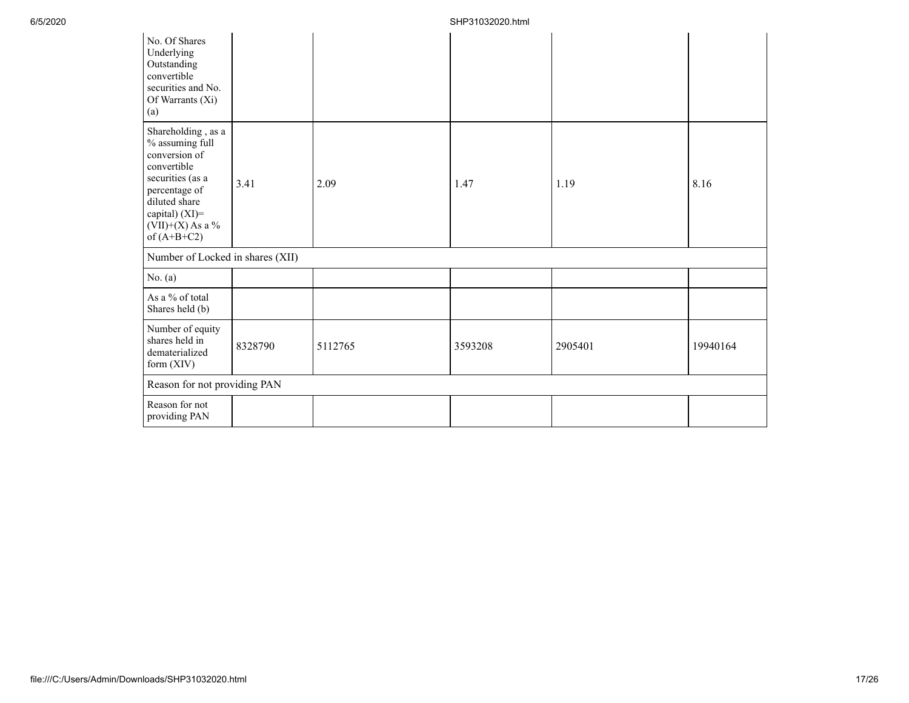| No. Of Shares<br>Underlying<br>Outstanding<br>convertible<br>securities and No.<br>Of Warrants (Xi)<br>(a)                                                                            |         |         |         |         |          |
|---------------------------------------------------------------------------------------------------------------------------------------------------------------------------------------|---------|---------|---------|---------|----------|
| Shareholding, as a<br>% assuming full<br>conversion of<br>convertible<br>securities (as a<br>percentage of<br>diluted share<br>capital) (XI)=<br>(VII)+(X) As a $\%$<br>of $(A+B+C2)$ | 3.41    | 2.09    | 1.47    | 1.19    | 8.16     |
| Number of Locked in shares (XII)                                                                                                                                                      |         |         |         |         |          |
| No. (a)                                                                                                                                                                               |         |         |         |         |          |
| As a % of total<br>Shares held (b)                                                                                                                                                    |         |         |         |         |          |
| Number of equity<br>shares held in<br>dematerialized<br>form $(XIV)$                                                                                                                  | 8328790 | 5112765 | 3593208 | 2905401 | 19940164 |
| Reason for not providing PAN                                                                                                                                                          |         |         |         |         |          |
| Reason for not<br>providing PAN                                                                                                                                                       |         |         |         |         |          |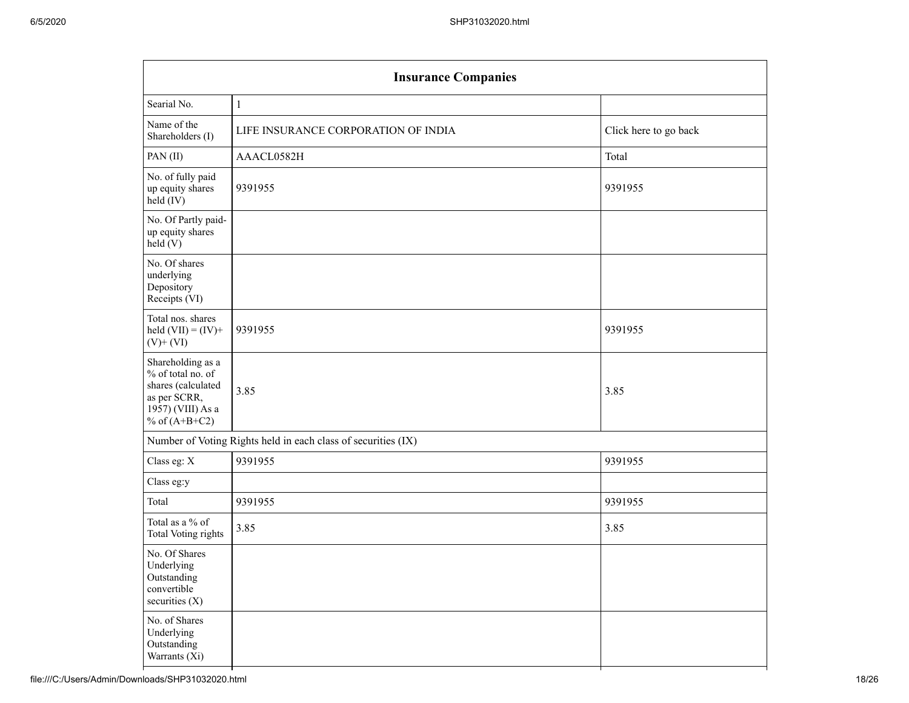| <b>Insurance Companies</b>                                                                                           |                                                               |                       |  |  |  |  |
|----------------------------------------------------------------------------------------------------------------------|---------------------------------------------------------------|-----------------------|--|--|--|--|
| Searial No.                                                                                                          | $\mathbf{1}$                                                  |                       |  |  |  |  |
| Name of the<br>Shareholders (I)                                                                                      | LIFE INSURANCE CORPORATION OF INDIA                           | Click here to go back |  |  |  |  |
| PAN(II)                                                                                                              | AAACL0582H                                                    | Total                 |  |  |  |  |
| No. of fully paid<br>up equity shares<br>held (IV)                                                                   | 9391955                                                       | 9391955               |  |  |  |  |
| No. Of Partly paid-<br>up equity shares<br>held(V)                                                                   |                                                               |                       |  |  |  |  |
| No. Of shares<br>underlying<br>Depository<br>Receipts (VI)                                                           |                                                               |                       |  |  |  |  |
| Total nos. shares<br>held $(VII) = (IV) +$<br>$(V)$ + $(VI)$                                                         | 9391955                                                       | 9391955               |  |  |  |  |
| Shareholding as a<br>% of total no. of<br>shares (calculated<br>as per SCRR,<br>1957) (VIII) As a<br>% of $(A+B+C2)$ | 3.85                                                          | 3.85                  |  |  |  |  |
|                                                                                                                      | Number of Voting Rights held in each class of securities (IX) |                       |  |  |  |  |
| Class eg: X                                                                                                          | 9391955                                                       | 9391955               |  |  |  |  |
| Class eg:y                                                                                                           |                                                               |                       |  |  |  |  |
| Total                                                                                                                | 9391955                                                       | 9391955               |  |  |  |  |
| Total as a $\%$ of<br><b>Total Voting rights</b>                                                                     | 3.85                                                          | 3.85                  |  |  |  |  |
| No. Of Shares<br>Underlying<br>Outstanding<br>convertible<br>securities (X)                                          |                                                               |                       |  |  |  |  |
| No. of Shares<br>Underlying<br>Outstanding<br>Warrants (Xi)                                                          |                                                               |                       |  |  |  |  |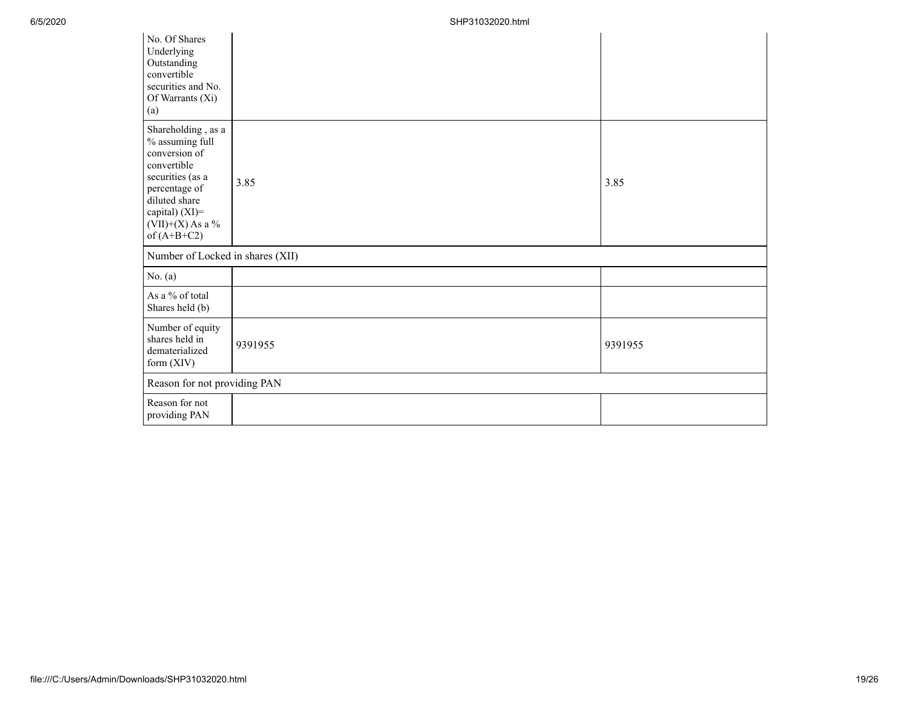| No. Of Shares<br>Underlying<br>Outstanding<br>convertible<br>securities and No.<br>Of Warrants (Xi)<br>(a)                                                                              |         |         |
|-----------------------------------------------------------------------------------------------------------------------------------------------------------------------------------------|---------|---------|
| Shareholding, as a<br>$\%$ assuming full<br>conversion of<br>convertible<br>securities (as a<br>percentage of<br>diluted share<br>capital) (XI)=<br>$(VII)+(X)$ As a %<br>of $(A+B+C2)$ | 3.85    | 3.85    |
| Number of Locked in shares (XII)                                                                                                                                                        |         |         |
| No. $(a)$                                                                                                                                                                               |         |         |
| As a % of total<br>Shares held (b)                                                                                                                                                      |         |         |
| Number of equity<br>shares held in<br>dematerialized<br>form (XIV)                                                                                                                      | 9391955 | 9391955 |
| Reason for not providing PAN                                                                                                                                                            |         |         |
| Reason for not<br>providing PAN                                                                                                                                                         |         |         |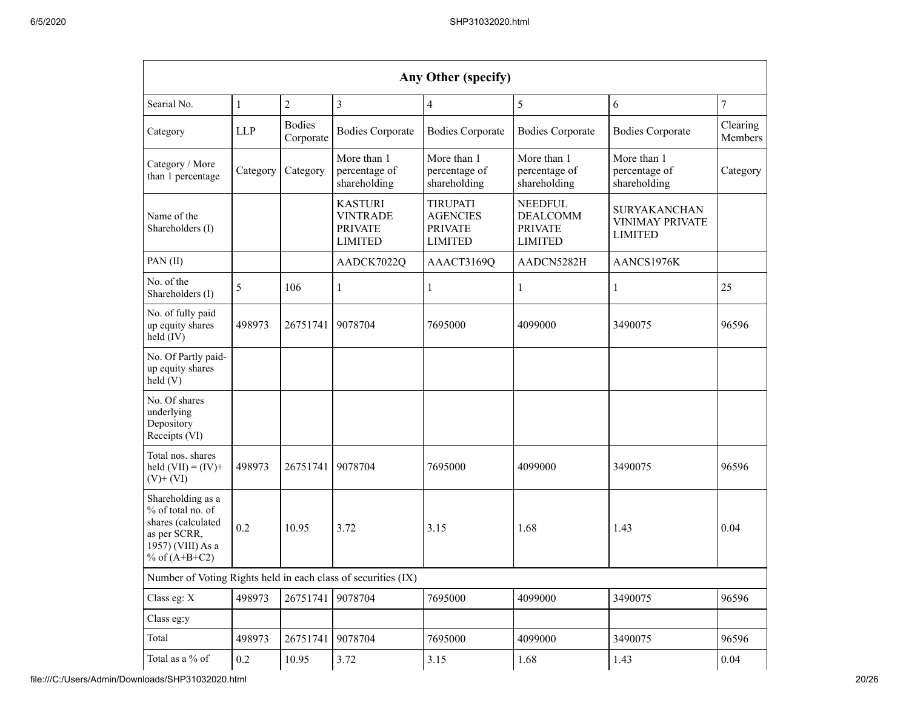|                                                                                                                        |              |                            |                                                                       | Any Other (specify)                                                    |                                                                       |                                                                 |                     |
|------------------------------------------------------------------------------------------------------------------------|--------------|----------------------------|-----------------------------------------------------------------------|------------------------------------------------------------------------|-----------------------------------------------------------------------|-----------------------------------------------------------------|---------------------|
| Searial No.                                                                                                            | $\mathbf{1}$ | $\overline{2}$             | $\overline{3}$                                                        | 4                                                                      | 5                                                                     | 6                                                               | $\overline{7}$      |
| Category                                                                                                               | <b>LLP</b>   | <b>Bodies</b><br>Corporate | <b>Bodies Corporate</b>                                               | <b>Bodies Corporate</b>                                                | <b>Bodies Corporate</b>                                               | <b>Bodies Corporate</b>                                         | Clearing<br>Members |
| Category / More<br>than 1 percentage                                                                                   | Category     | Category                   | More than 1<br>percentage of<br>shareholding                          | More than 1<br>percentage of<br>shareholding                           | More than 1<br>percentage of<br>shareholding                          | More than 1<br>percentage of<br>shareholding                    | Category            |
| Name of the<br>Shareholders (I)                                                                                        |              |                            | <b>KASTURI</b><br><b>VINTRADE</b><br><b>PRIVATE</b><br><b>LIMITED</b> | <b>TIRUPATI</b><br><b>AGENCIES</b><br><b>PRIVATE</b><br><b>LIMITED</b> | <b>NEEDFUL</b><br><b>DEALCOMM</b><br><b>PRIVATE</b><br><b>LIMITED</b> | <b>SURYAKANCHAN</b><br><b>VINIMAY PRIVATE</b><br><b>LIMITED</b> |                     |
| PAN(II)                                                                                                                |              |                            | AADCK7022Q                                                            | AAACT3169Q                                                             | AADCN5282H                                                            | AANCS1976K                                                      |                     |
| No. of the<br>Shareholders (I)                                                                                         | 5            | 106                        | 1                                                                     | 1                                                                      | 1                                                                     | 1                                                               | 25                  |
| No. of fully paid<br>up equity shares<br>held $(IV)$                                                                   | 498973       | 26751741                   | 9078704                                                               | 7695000                                                                | 4099000                                                               | 3490075                                                         | 96596               |
| No. Of Partly paid-<br>up equity shares<br>held(V)                                                                     |              |                            |                                                                       |                                                                        |                                                                       |                                                                 |                     |
| No. Of shares<br>underlying<br>Depository<br>Receipts (VI)                                                             |              |                            |                                                                       |                                                                        |                                                                       |                                                                 |                     |
| Total nos. shares<br>held $(VII) = (IV) +$<br>$(V)+(VI)$                                                               | 498973       | 26751741                   | 9078704                                                               | 7695000                                                                | 4099000                                                               | 3490075                                                         | 96596               |
| Shareholding as a<br>$%$ of total no. of<br>shares (calculated<br>as per SCRR,<br>1957) (VIII) As a<br>% of $(A+B+C2)$ | 0.2          | 10.95                      | 3.72                                                                  | 3.15                                                                   | 1.68                                                                  | 1.43                                                            | 0.04                |
| Number of Voting Rights held in each class of securities (IX)                                                          |              |                            |                                                                       |                                                                        |                                                                       |                                                                 |                     |
| Class eg: X                                                                                                            | 498973       | 26751741                   | 9078704                                                               | 7695000                                                                | 4099000                                                               | 3490075                                                         | 96596               |
| Class eg:y                                                                                                             |              |                            |                                                                       |                                                                        |                                                                       |                                                                 |                     |
| Total                                                                                                                  | 498973       | 26751741                   | 9078704                                                               | 7695000                                                                | 4099000                                                               | 3490075                                                         | 96596               |
| Total as a % of                                                                                                        | 0.2          | 10.95                      | 3.72                                                                  | 3.15                                                                   | 1.68                                                                  | 1.43                                                            | 0.04                |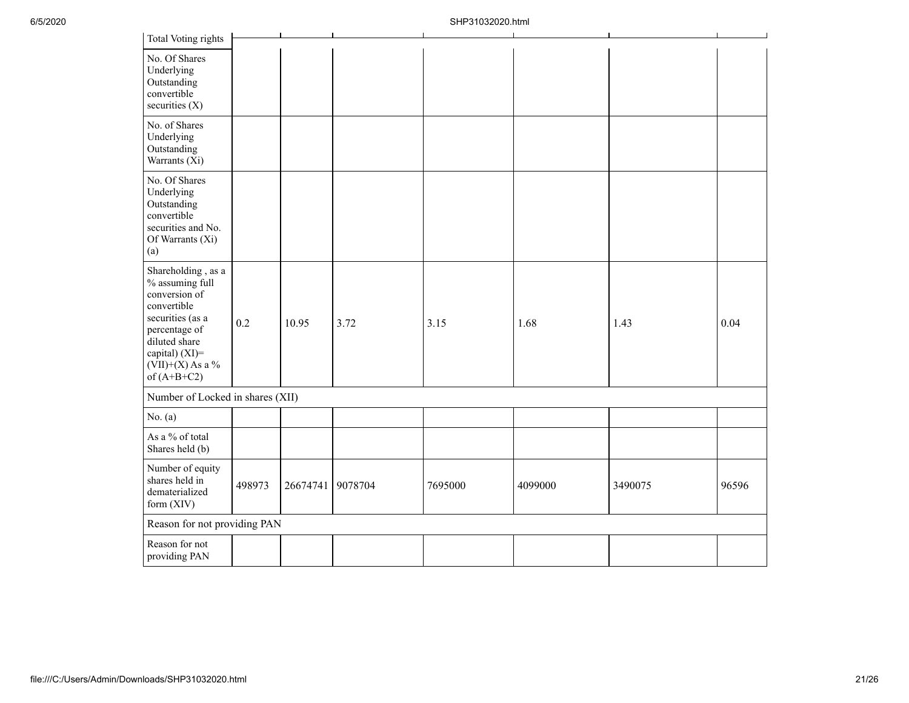| <b>Total Voting rights</b>                                                                                                                                                           |        |          |         |         |         |         |       |
|--------------------------------------------------------------------------------------------------------------------------------------------------------------------------------------|--------|----------|---------|---------|---------|---------|-------|
| No. Of Shares<br>Underlying<br>Outstanding<br>convertible<br>securities (X)                                                                                                          |        |          |         |         |         |         |       |
| No. of Shares<br>Underlying<br>Outstanding<br>Warrants (Xi)                                                                                                                          |        |          |         |         |         |         |       |
| No. Of Shares<br>Underlying<br>Outstanding<br>convertible<br>securities and No.<br>Of Warrants (Xi)<br>(a)                                                                           |        |          |         |         |         |         |       |
| Shareholding, as a<br>% assuming full<br>conversion of<br>convertible<br>securities (as a<br>percentage of<br>diluted share<br>capital) (XI)=<br>$(VII)+(X)$ As a %<br>of $(A+B+C2)$ | 0.2    | 10.95    | 3.72    | 3.15    | 1.68    | 1.43    | 0.04  |
| Number of Locked in shares (XII)                                                                                                                                                     |        |          |         |         |         |         |       |
| No. $(a)$                                                                                                                                                                            |        |          |         |         |         |         |       |
| As a % of total<br>Shares held (b)                                                                                                                                                   |        |          |         |         |         |         |       |
| Number of equity<br>shares held in<br>dematerialized<br>form (XIV)                                                                                                                   | 498973 | 26674741 | 9078704 | 7695000 | 4099000 | 3490075 | 96596 |
| Reason for not providing PAN                                                                                                                                                         |        |          |         |         |         |         |       |
| Reason for not<br>providing PAN                                                                                                                                                      |        |          |         |         |         |         |       |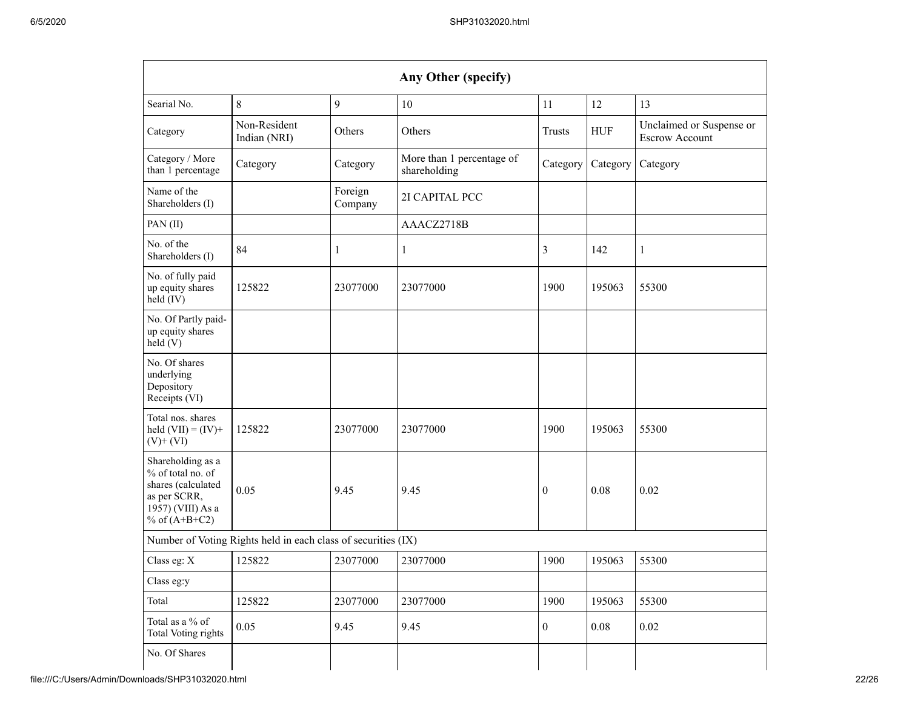|                                                                                                                      |                                                               |                    | Any Other (specify)                       |                  |            |                                                   |
|----------------------------------------------------------------------------------------------------------------------|---------------------------------------------------------------|--------------------|-------------------------------------------|------------------|------------|---------------------------------------------------|
| Searial No.                                                                                                          | $\,$ 8 $\,$                                                   | 9                  | 10                                        | 11               | 12         | 13                                                |
| Category                                                                                                             | Non-Resident<br>Indian (NRI)                                  | Others             | Others                                    | <b>Trusts</b>    | <b>HUF</b> | Unclaimed or Suspense or<br><b>Escrow Account</b> |
| Category / More<br>than 1 percentage                                                                                 | Category                                                      | Category           | More than 1 percentage of<br>shareholding | Category         | Category   | Category                                          |
| Name of the<br>Shareholders (I)                                                                                      |                                                               | Foreign<br>Company | 2I CAPITAL PCC                            |                  |            |                                                   |
| PAN(II)                                                                                                              |                                                               |                    | AAACZ2718B                                |                  |            |                                                   |
| No. of the<br>Shareholders (I)                                                                                       | 84                                                            | 1                  | 1                                         | 3                | 142        | 1                                                 |
| No. of fully paid<br>up equity shares<br>held (IV)                                                                   | 125822                                                        | 23077000           | 23077000                                  | 1900             | 195063     | 55300                                             |
| No. Of Partly paid-<br>up equity shares<br>held (V)                                                                  |                                                               |                    |                                           |                  |            |                                                   |
| No. Of shares<br>underlying<br>Depository<br>Receipts (VI)                                                           |                                                               |                    |                                           |                  |            |                                                   |
| Total nos. shares<br>held $(VII) = (IV) +$<br>$(V)$ + $(VI)$                                                         | 125822                                                        | 23077000           | 23077000                                  | 1900             | 195063     | 55300                                             |
| Shareholding as a<br>% of total no. of<br>shares (calculated<br>as per SCRR,<br>1957) (VIII) As a<br>% of $(A+B+C2)$ | 0.05                                                          | 9.45               | 9.45                                      | $\boldsymbol{0}$ | 0.08       | 0.02                                              |
|                                                                                                                      | Number of Voting Rights held in each class of securities (IX) |                    |                                           |                  |            |                                                   |
| Class eg: X                                                                                                          | 125822                                                        | 23077000           | 23077000                                  | 1900             | 195063     | 55300                                             |
| Class eg:y                                                                                                           |                                                               |                    |                                           |                  |            |                                                   |
| Total                                                                                                                | 125822                                                        | 23077000           | 23077000                                  | 1900             | 195063     | 55300                                             |
| Total as a % of<br>Total Voting rights                                                                               | 0.05                                                          | 9.45               | 9.45                                      | $\boldsymbol{0}$ | 0.08       | 0.02                                              |
| No. Of Shares                                                                                                        |                                                               |                    |                                           |                  |            |                                                   |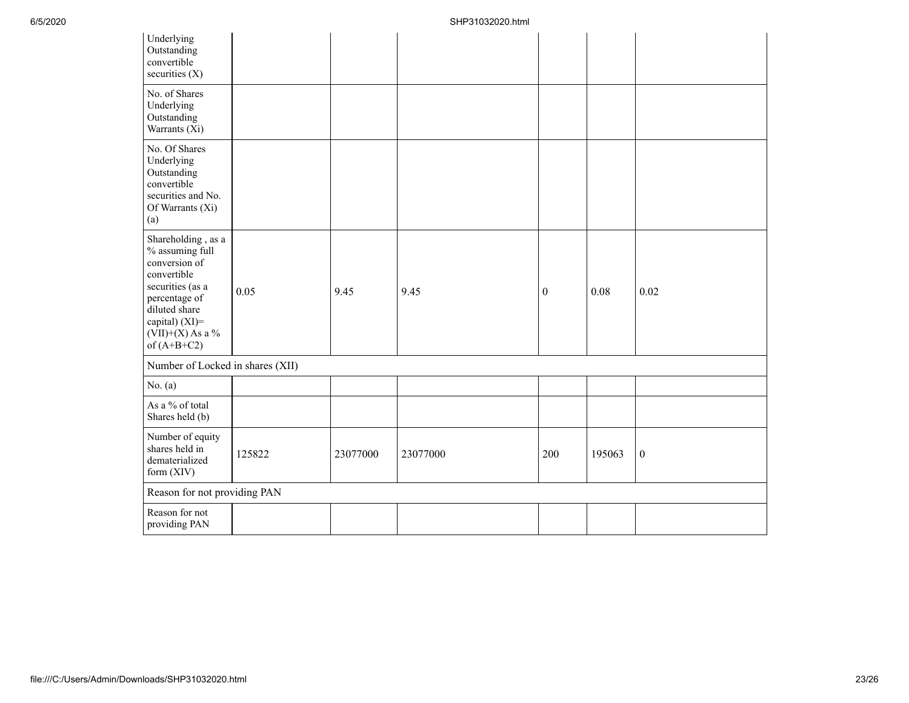| Underlying<br>Outstanding<br>convertible<br>securities (X)                                                                                                                           |        |          |          |              |        |                  |
|--------------------------------------------------------------------------------------------------------------------------------------------------------------------------------------|--------|----------|----------|--------------|--------|------------------|
| No. of Shares<br>Underlying<br>Outstanding<br>Warrants (Xi)                                                                                                                          |        |          |          |              |        |                  |
| No. Of Shares<br>Underlying<br>Outstanding<br>convertible<br>securities and No.<br>Of Warrants (Xi)<br>(a)                                                                           |        |          |          |              |        |                  |
| Shareholding, as a<br>% assuming full<br>conversion of<br>convertible<br>securities (as a<br>percentage of<br>diluted share<br>capital) (XI)=<br>$(VII)+(X)$ As a %<br>of $(A+B+C2)$ | 0.05   | 9.45     | 9.45     | $\mathbf{0}$ | 0.08   | 0.02             |
| Number of Locked in shares (XII)                                                                                                                                                     |        |          |          |              |        |                  |
| No. $(a)$                                                                                                                                                                            |        |          |          |              |        |                  |
| As a % of total<br>Shares held (b)                                                                                                                                                   |        |          |          |              |        |                  |
| Number of equity<br>shares held in<br>dematerialized<br>form $(XIV)$                                                                                                                 | 125822 | 23077000 | 23077000 | 200          | 195063 | $\boldsymbol{0}$ |
| Reason for not providing PAN                                                                                                                                                         |        |          |          |              |        |                  |
| Reason for not<br>providing PAN                                                                                                                                                      |        |          |          |              |        |                  |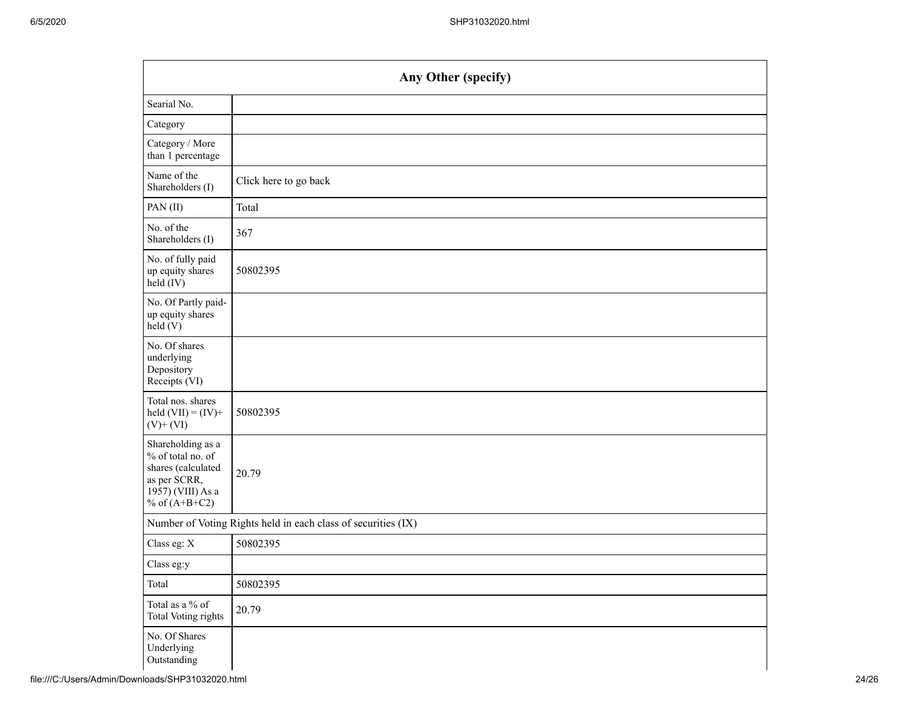|                                                                                                                      | Any Other (specify)                                           |  |  |  |  |  |  |  |
|----------------------------------------------------------------------------------------------------------------------|---------------------------------------------------------------|--|--|--|--|--|--|--|
| Searial No.                                                                                                          |                                                               |  |  |  |  |  |  |  |
| Category                                                                                                             |                                                               |  |  |  |  |  |  |  |
| Category / More<br>than 1 percentage                                                                                 |                                                               |  |  |  |  |  |  |  |
| Name of the<br>Shareholders (I)                                                                                      | Click here to go back                                         |  |  |  |  |  |  |  |
| PAN (II)                                                                                                             | Total                                                         |  |  |  |  |  |  |  |
| No. of the<br>Shareholders (I)                                                                                       | 367                                                           |  |  |  |  |  |  |  |
| No. of fully paid<br>up equity shares<br>held (IV)                                                                   | 50802395                                                      |  |  |  |  |  |  |  |
| No. Of Partly paid-<br>up equity shares<br>held(V)                                                                   |                                                               |  |  |  |  |  |  |  |
| No. Of shares<br>underlying<br>Depository<br>Receipts (VI)                                                           |                                                               |  |  |  |  |  |  |  |
| Total nos. shares<br>held $(VII) = (IV) +$<br>$(V)$ + $(VI)$                                                         | 50802395                                                      |  |  |  |  |  |  |  |
| Shareholding as a<br>% of total no. of<br>shares (calculated<br>as per SCRR,<br>1957) (VIII) As a<br>% of $(A+B+C2)$ | 20.79                                                         |  |  |  |  |  |  |  |
|                                                                                                                      | Number of Voting Rights held in each class of securities (IX) |  |  |  |  |  |  |  |
| Class eg: X                                                                                                          | 50802395                                                      |  |  |  |  |  |  |  |
| Class eg:y                                                                                                           |                                                               |  |  |  |  |  |  |  |
| Total                                                                                                                | 50802395                                                      |  |  |  |  |  |  |  |
| Total as a % of<br>Total Voting rights                                                                               | 20.79                                                         |  |  |  |  |  |  |  |
| No. Of Shares<br>Underlying<br>Outstanding                                                                           |                                                               |  |  |  |  |  |  |  |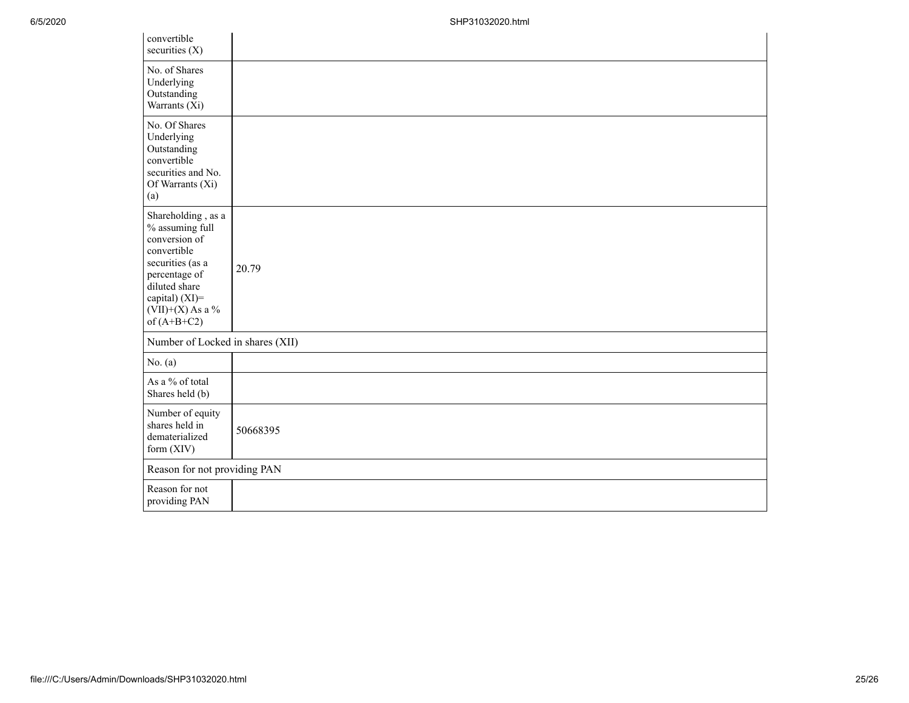| convertible<br>securities $(X)$                                                                                                                                                      |          |  |  |  |  |  |
|--------------------------------------------------------------------------------------------------------------------------------------------------------------------------------------|----------|--|--|--|--|--|
| No. of Shares<br>Underlying<br>Outstanding<br>Warrants (Xi)                                                                                                                          |          |  |  |  |  |  |
| No. Of Shares<br>Underlying<br>Outstanding<br>convertible<br>securities and No.<br>Of Warrants (Xi)<br>(a)                                                                           |          |  |  |  |  |  |
| Shareholding, as a<br>% assuming full<br>conversion of<br>convertible<br>securities (as a<br>percentage of<br>diluted share<br>capital) (XI)=<br>$(VII)+(X)$ As a %<br>of $(A+B+C2)$ | 20.79    |  |  |  |  |  |
| Number of Locked in shares (XII)                                                                                                                                                     |          |  |  |  |  |  |
| No. $(a)$                                                                                                                                                                            |          |  |  |  |  |  |
| As a % of total<br>Shares held (b)                                                                                                                                                   |          |  |  |  |  |  |
| Number of equity<br>shares held in<br>dematerialized<br>form (XIV)                                                                                                                   | 50668395 |  |  |  |  |  |
| Reason for not providing PAN                                                                                                                                                         |          |  |  |  |  |  |
| Reason for not<br>providing PAN                                                                                                                                                      |          |  |  |  |  |  |